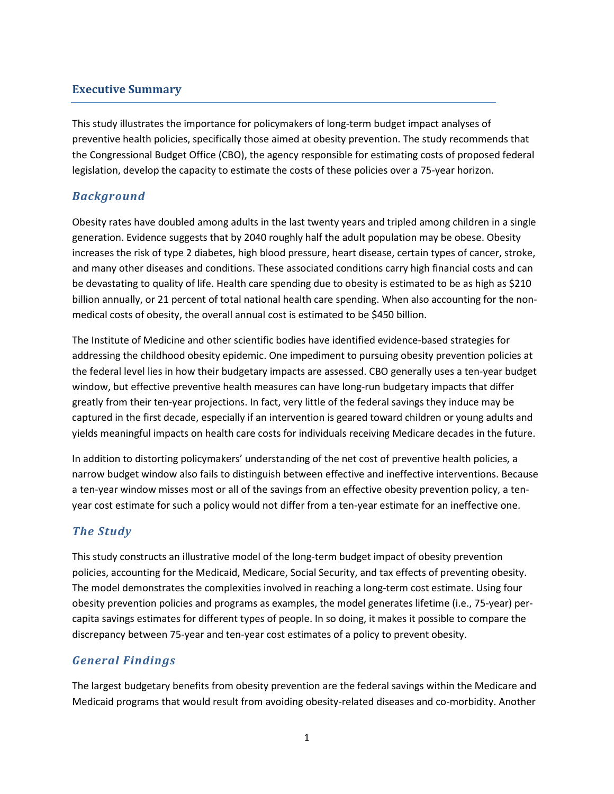### **Executive Summary**

This study illustrates the importance for policymakers of long-term budget impact analyses of preventive health policies, specifically those aimed at obesity prevention. The study recommends that the Congressional Budget Office (CBO), the agency responsible for estimating costs of proposed federal legislation, develop the capacity to estimate the costs of these policies over a 75-year horizon.

## *Background*

Obesity rates have doubled among adults in the last twenty years and tripled among children in a single generation. Evidence suggests that by 2040 roughly half the adult population may be obese. Obesity increases the risk of type 2 diabetes, high blood pressure, heart disease, certain types of cancer, stroke, and many other diseases and conditions. These associated conditions carry high financial costs and can be devastating to quality of life. Health care spending due to obesity is estimated to be as high as \$210 billion annually, or 21 percent of total national health care spending. When also accounting for the nonmedical costs of obesity, the overall annual cost is estimated to be \$450 billion.

The Institute of Medicine and other scientific bodies have identified evidence-based strategies for addressing the childhood obesity epidemic. One impediment to pursuing obesity prevention policies at the federal level lies in how their budgetary impacts are assessed. CBO generally uses a ten-year budget window, but effective preventive health measures can have long-run budgetary impacts that differ greatly from their ten-year projections. In fact, very little of the federal savings they induce may be captured in the first decade, especially if an intervention is geared toward children or young adults and yields meaningful impacts on health care costs for individuals receiving Medicare decades in the future.

In addition to distorting policymakers' understanding of the net cost of preventive health policies, a narrow budget window also fails to distinguish between effective and ineffective interventions. Because a ten-year window misses most or all of the savings from an effective obesity prevention policy, a tenyear cost estimate for such a policy would not differ from a ten-year estimate for an ineffective one.

## *The Study*

This study constructs an illustrative model of the long-term budget impact of obesity prevention policies, accounting for the Medicaid, Medicare, Social Security, and tax effects of preventing obesity. The model demonstrates the complexities involved in reaching a long-term cost estimate. Using four obesity prevention policies and programs as examples, the model generates lifetime (i.e., 75-year) percapita savings estimates for different types of people. In so doing, it makes it possible to compare the discrepancy between 75-year and ten-year cost estimates of a policy to prevent obesity.

## *General Findings*

The largest budgetary benefits from obesity prevention are the federal savings within the Medicare and Medicaid programs that would result from avoiding obesity-related diseases and co-morbidity. Another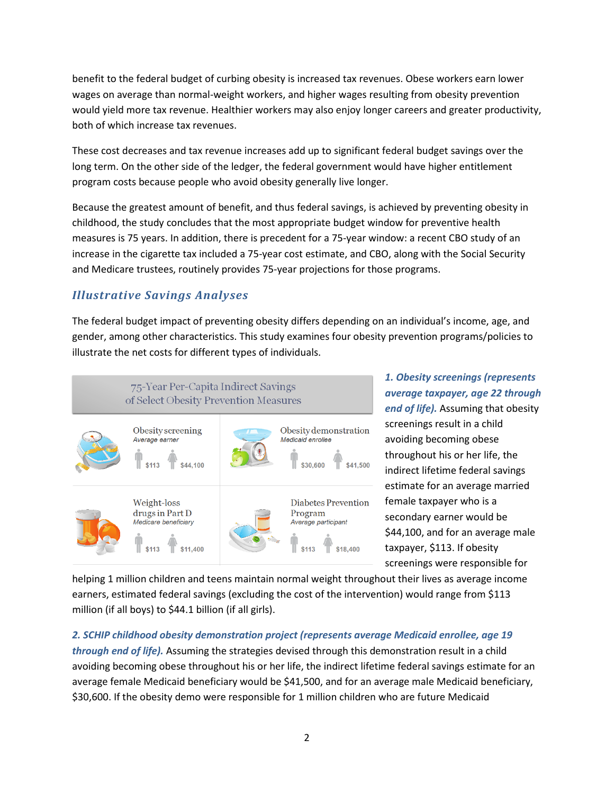benefit to the federal budget of curbing obesity is increased tax revenues. Obese workers earn lower wages on average than normal-weight workers, and higher wages resulting from obesity prevention would yield more tax revenue. Healthier workers may also enjoy longer careers and greater productivity, both of which increase tax revenues.

These cost decreases and tax revenue increases add up to significant federal budget savings over the long term. On the other side of the ledger, the federal government would have higher entitlement program costs because people who avoid obesity generally live longer.

Because the greatest amount of benefit, and thus federal savings, is achieved by preventing obesity in childhood, the study concludes that the most appropriate budget window for preventive health measures is 75 years. In addition, there is precedent for a 75-year window: a recent CBO study of an increase in the cigarette tax included a 75-year cost estimate, and CBO, along with the Social Security and Medicare trustees, routinely provides 75-year projections for those programs.

# *Illustrative Savings Analyses*

The federal budget impact of preventing obesity differs depending on an individual's income, age, and gender, among other characteristics. This study examines four obesity prevention programs/policies to illustrate the net costs for different types of individuals.



*1. Obesity screenings (represents average taxpayer, age 22 through end of life).* Assuming that obesity screenings result in a child avoiding becoming obese throughout his or her life, the indirect lifetime federal savings estimate for an average married female taxpayer who is a secondary earner would be \$44,100, and for an average male taxpayer, \$113. If obesity screenings were responsible for

helping 1 million children and teens maintain normal weight throughout their lives as average income earners, estimated federal savings (excluding the cost of the intervention) would range from \$113 million (if all boys) to \$44.1 billion (if all girls).

*2. SCHIP childhood obesity demonstration project (represents average Medicaid enrollee, age 19 through end of life).* Assuming the strategies devised through this demonstration result in a child avoiding becoming obese throughout his or her life, the indirect lifetime federal savings estimate for an average female Medicaid beneficiary would be \$41,500, and for an average male Medicaid beneficiary, \$30,600. If the obesity demo were responsible for 1 million children who are future Medicaid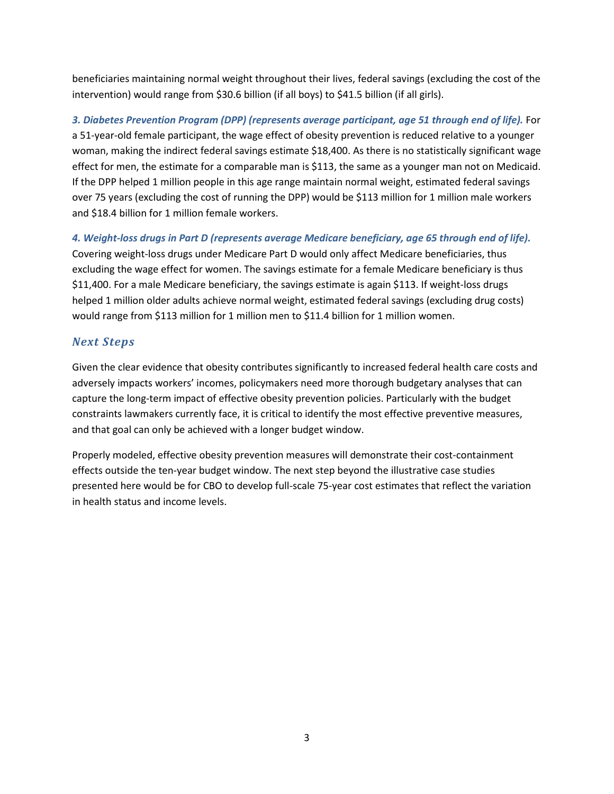beneficiaries maintaining normal weight throughout their lives, federal savings (excluding the cost of the intervention) would range from \$30.6 billion (if all boys) to \$41.5 billion (if all girls).

*3. Diabetes Prevention Program (DPP) (represents average participant, age 51 through end of life).* For a 51-year-old female participant, the wage effect of obesity prevention is reduced relative to a younger woman, making the indirect federal savings estimate \$18,400. As there is no statistically significant wage effect for men, the estimate for a comparable man is \$113, the same as a younger man not on Medicaid. If the DPP helped 1 million people in this age range maintain normal weight, estimated federal savings over 75 years (excluding the cost of running the DPP) would be \$113 million for 1 million male workers and \$18.4 billion for 1 million female workers.

*4. Weight-loss drugs in Part D (represents average Medicare beneficiary, age 65 through end of life).* Covering weight-loss drugs under Medicare Part D would only affect Medicare beneficiaries, thus excluding the wage effect for women. The savings estimate for a female Medicare beneficiary is thus \$11,400. For a male Medicare beneficiary, the savings estimate is again \$113. If weight-loss drugs helped 1 million older adults achieve normal weight, estimated federal savings (excluding drug costs) would range from \$113 million for 1 million men to \$11.4 billion for 1 million women.

# *Next Steps*

Given the clear evidence that obesity contributes significantly to increased federal health care costs and adversely impacts workers' incomes, policymakers need more thorough budgetary analyses that can capture the long-term impact of effective obesity prevention policies. Particularly with the budget constraints lawmakers currently face, it is critical to identify the most effective preventive measures, and that goal can only be achieved with a longer budget window.

Properly modeled, effective obesity prevention measures will demonstrate their cost-containment effects outside the ten-year budget window. The next step beyond the illustrative case studies presented here would be for CBO to develop full-scale 75-year cost estimates that reflect the variation in health status and income levels.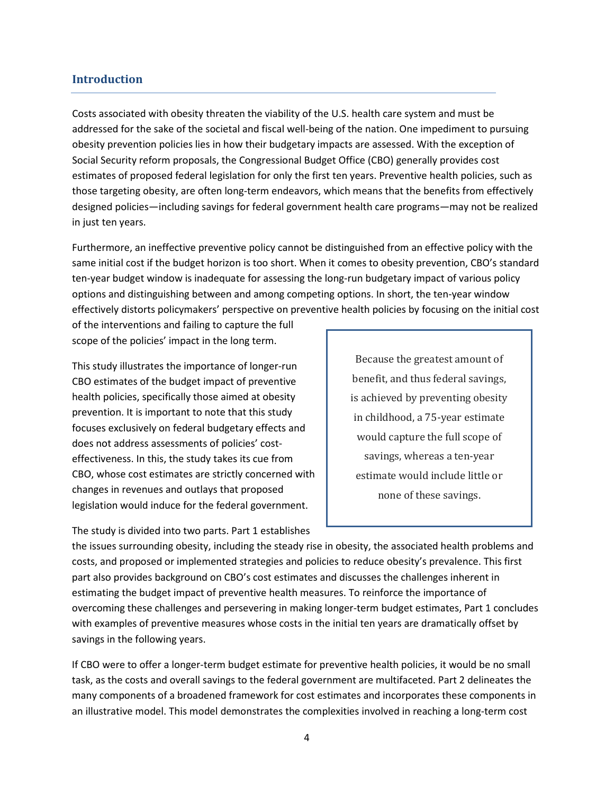### **Introduction**

Costs associated with obesity threaten the viability of the U.S. health care system and must be addressed for the sake of the societal and fiscal well-being of the nation. One impediment to pursuing obesity prevention policies lies in how their budgetary impacts are assessed. With the exception of Social Security reform proposals, the Congressional Budget Office (CBO) generally provides cost estimates of proposed federal legislation for only the first ten years. Preventive health policies, such as those targeting obesity, are often long-term endeavors, which means that the benefits from effectively designed policies—including savings for federal government health care programs—may not be realized in just ten years.

Furthermore, an ineffective preventive policy cannot be distinguished from an effective policy with the same initial cost if the budget horizon is too short. When it comes to obesity prevention, CBO's standard ten-year budget window is inadequate for assessing the long-run budgetary impact of various policy options and distinguishing between and among competing options. In short, the ten-year window effectively distorts policymakers' perspective on preventive health policies by focusing on the initial cost

of the interventions and failing to capture the full scope of the policies' impact in the long term.

This study illustrates the importance of longer-run CBO estimates of the budget impact of preventive health policies, specifically those aimed at obesity prevention. It is important to note that this study focuses exclusively on federal budgetary effects and does not address assessments of policies' costeffectiveness. In this, the study takes its cue from CBO, whose cost estimates are strictly concerned with changes in revenues and outlays that proposed legislation would induce for the federal government.

The study is divided into two parts. Part 1 establishes

Because the greatest amount of benefit, and thus federal savings, is achieved by preventing obesity in childhood, a 75-year estimate would capture the full scope of savings, whereas a ten-year estimate would include little or none of these savings.

the issues surrounding obesity, including the steady rise in obesity, the associated health problems and costs, and proposed or implemented strategies and policies to reduce obesity's prevalence. This first part also provides background on CBO's cost estimates and discusses the challenges inherent in estimating the budget impact of preventive health measures. To reinforce the importance of overcoming these challenges and persevering in making longer-term budget estimates, Part 1 concludes with examples of preventive measures whose costs in the initial ten years are dramatically offset by savings in the following years.

If CBO were to offer a longer-term budget estimate for preventive health policies, it would be no small task, as the costs and overall savings to the federal government are multifaceted. Part 2 delineates the many components of a broadened framework for cost estimates and incorporates these components in an illustrative model. This model demonstrates the complexities involved in reaching a long-term cost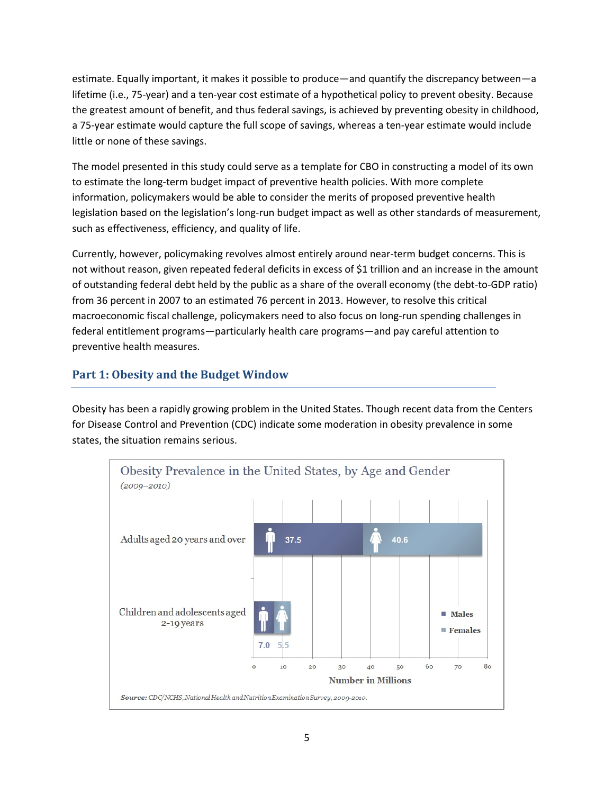estimate. Equally important, it makes it possible to produce—and quantify the discrepancy between—a lifetime (i.e., 75-year) and a ten-year cost estimate of a hypothetical policy to prevent obesity. Because the greatest amount of benefit, and thus federal savings, is achieved by preventing obesity in childhood, a 75-year estimate would capture the full scope of savings, whereas a ten-year estimate would include little or none of these savings.

The model presented in this study could serve as a template for CBO in constructing a model of its own to estimate the long-term budget impact of preventive health policies. With more complete information, policymakers would be able to consider the merits of proposed preventive health legislation based on the legislation's long-run budget impact as well as other standards of measurement, such as effectiveness, efficiency, and quality of life.

Currently, however, policymaking revolves almost entirely around near-term budget concerns. This is not without reason, given repeated federal deficits in excess of \$1 trillion and an increase in the amount of outstanding federal debt held by the public as a share of the overall economy (the debt-to-GDP ratio) from 36 percent in 2007 to an estimated 76 percent in 2013. However, to resolve this critical macroeconomic fiscal challenge, policymakers need to also focus on long-run spending challenges in federal entitlement programs—particularly health care programs—and pay careful attention to preventive health measures.

# **Part 1: Obesity and the Budget Window**

Obesity has been a rapidly growing problem in the United States. Though recent data from the Centers for Disease Control and Prevention (CDC) indicate some moderation in obesity prevalence in some states, the situation remains serious.

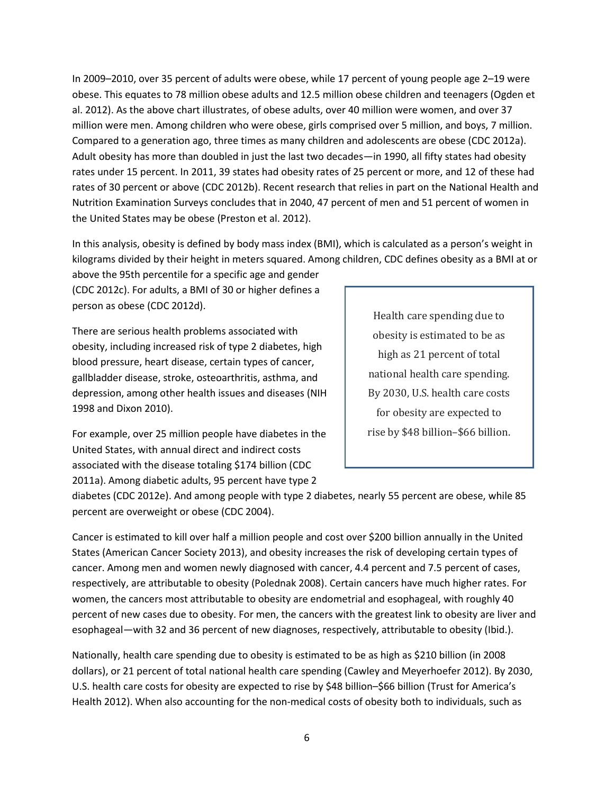In 2009–2010, over 35 percent of adults were obese, while 17 percent of young people age 2–19 were obese. This equates to 78 million obese adults and 12.5 million obese children and teenagers (Ogden et al. 2012). As the above chart illustrates, of obese adults, over 40 million were women, and over 37 million were men. Among children who were obese, girls comprised over 5 million, and boys, 7 million. Compared to a generation ago, three times as many children and adolescents are obese (CDC 2012a). Adult obesity has more than doubled in just the last two decades—in 1990, all fifty states had obesity rates under 15 percent. In 2011, 39 states had obesity rates of 25 percent or more, and 12 of these had rates of 30 percent or above (CDC 2012b). Recent research that relies in part on the National Health and Nutrition Examination Surveys concludes that in 2040, 47 percent of men and 51 percent of women in the United States may be obese (Preston et al. 2012).

In this analysis, obesity is defined by body mass index (BMI), which is calculated as a person's weight in kilograms divided by their height in meters squared. Among children, CDC defines obesity as a BMI at or

above the 95th percentile for a specific age and gender (CDC 2012c). For adults, a BMI of 30 or higher defines a person as obese (CDC 2012d).

There are serious health problems associated with obesity, including increased risk of type 2 diabetes, high blood pressure, heart disease, certain types of cancer, gallbladder disease, stroke, osteoarthritis, asthma, and depression, among other health issues and diseases (NIH 1998 and Dixon 2010).

Health care spending due to obesity is estimated to be as high as 21 percent of total national health care spending. By 2030, U.S. health care costs for obesity are expected to rise by \$48 billion–\$66 billion.

For example, over 25 million people have diabetes in the United States, with annual direct and indirect costs associated with the disease totaling \$174 billion (CDC 2011a). Among diabetic adults, 95 percent have type 2

diabetes (CDC 2012e). And among people with type 2 diabetes, nearly 55 percent are obese, while 85 percent are overweight or obese (CDC 2004).

Cancer is estimated to kill over half a million people and cost over \$200 billion annually in the United States (American Cancer Society 2013), and obesity increases the risk of developing certain types of cancer. Among men and women newly diagnosed with cancer, 4.4 percent and 7.5 percent of cases, respectively, are attributable to obesity (Polednak 2008). Certain cancers have much higher rates. For women, the cancers most attributable to obesity are endometrial and esophageal, with roughly 40 percent of new cases due to obesity. For men, the cancers with the greatest link to obesity are liver and esophageal—with 32 and 36 percent of new diagnoses, respectively, attributable to obesity (Ibid.).

Nationally, health care spending due to obesity is estimated to be as high as \$210 billion (in 2008 dollars), or 21 percent of total national health care spending (Cawley and Meyerhoefer 2012). By 2030, U.S. health care costs for obesity are expected to rise by \$48 billion–\$66 billion (Trust for America's Health 2012). When also accounting for the non-medical costs of obesity both to individuals, such as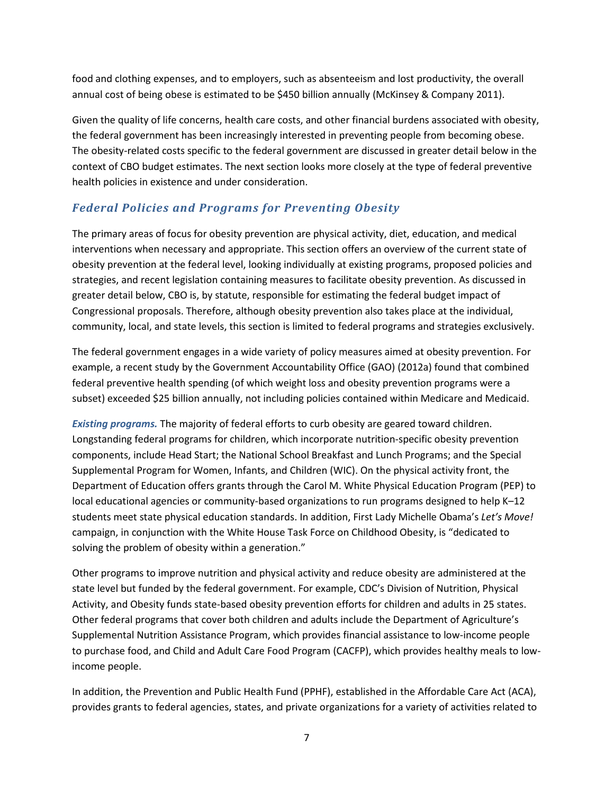food and clothing expenses, and to employers, such as absenteeism and lost productivity, the overall annual cost of being obese is estimated to be \$450 billion annually (McKinsey & Company 2011).

Given the quality of life concerns, health care costs, and other financial burdens associated with obesity, the federal government has been increasingly interested in preventing people from becoming obese. The obesity-related costs specific to the federal government are discussed in greater detail below in the context of CBO budget estimates. The next section looks more closely at the type of federal preventive health policies in existence and under consideration.

# *Federal Policies and Programs for Preventing Obesity*

The primary areas of focus for obesity prevention are physical activity, diet, education, and medical interventions when necessary and appropriate. This section offers an overview of the current state of obesity prevention at the federal level, looking individually at existing programs, proposed policies and strategies, and recent legislation containing measures to facilitate obesity prevention. As discussed in greater detail below, CBO is, by statute, responsible for estimating the federal budget impact of Congressional proposals. Therefore, although obesity prevention also takes place at the individual, community, local, and state levels, this section is limited to federal programs and strategies exclusively.

The federal government engages in a wide variety of policy measures aimed at obesity prevention. For example, a recent study by the Government Accountability Office (GAO) (2012a) found that combined federal preventive health spending (of which weight loss and obesity prevention programs were a subset) exceeded \$25 billion annually, not including policies contained within Medicare and Medicaid.

*Existing programs.* The majority of federal efforts to curb obesity are geared toward children. Longstanding federal programs for children, which incorporate nutrition-specific obesity prevention components, include Head Start; the National School Breakfast and Lunch Programs; and the Special Supplemental Program for Women, Infants, and Children (WIC). On the physical activity front, the Department of Education offers grants through the Carol M. White Physical Education Program (PEP) to local educational agencies or community-based organizations to run programs designed to help K–12 students meet state physical education standards. In addition, First Lady Michelle Obama's *Let's Move!* campaign, in conjunction with the White House Task Force on Childhood Obesity, is "dedicated to solving the problem of obesity within a generation."

Other programs to improve nutrition and physical activity and reduce obesity are administered at the state level but funded by the federal government. For example, CDC's Division of Nutrition, Physical Activity, and Obesity funds state-based obesity prevention efforts for children and adults in 25 states. Other federal programs that cover both children and adults include the Department of Agriculture's Supplemental Nutrition Assistance Program, which provides financial assistance to low-income people to purchase food, and Child and Adult Care Food Program (CACFP), which provides healthy meals to lowincome people.

In addition, the Prevention and Public Health Fund (PPHF), established in the Affordable Care Act (ACA), provides grants to federal agencies, states, and private organizations for a variety of activities related to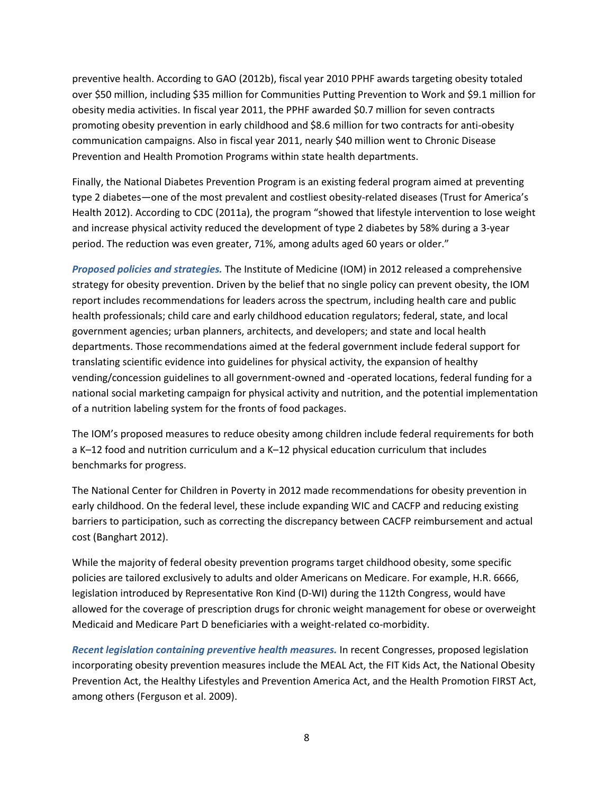preventive health. According to GAO (2012b), fiscal year 2010 PPHF awards targeting obesity totaled over \$50 million, including \$35 million for Communities Putting Prevention to Work and \$9.1 million for obesity media activities. In fiscal year 2011, the PPHF awarded \$0.7 million for seven contracts promoting obesity prevention in early childhood and \$8.6 million for two contracts for anti-obesity communication campaigns. Also in fiscal year 2011, nearly \$40 million went to Chronic Disease Prevention and Health Promotion Programs within state health departments.

Finally, the National Diabetes Prevention Program is an existing federal program aimed at preventing type 2 diabetes—one of the most prevalent and costliest obesity-related diseases (Trust for America's Health 2012). According to CDC (2011a), the program "showed that lifestyle intervention to lose weight and increase physical activity reduced the development of type 2 diabetes by 58% during a 3-year period. The reduction was even greater, 71%, among adults aged 60 years or older."

*Proposed policies and strategies.* The Institute of Medicine (IOM) in 2012 released a comprehensive strategy for obesity prevention. Driven by the belief that no single policy can prevent obesity, the IOM report includes recommendations for leaders across the spectrum, including health care and public health professionals; child care and early childhood education regulators; federal, state, and local government agencies; urban planners, architects, and developers; and state and local health departments. Those recommendations aimed at the federal government include federal support for translating scientific evidence into guidelines for physical activity, the expansion of healthy vending/concession guidelines to all government-owned and -operated locations, federal funding for a national social marketing campaign for physical activity and nutrition, and the potential implementation of a nutrition labeling system for the fronts of food packages.

The IOM's proposed measures to reduce obesity among children include federal requirements for both a K–12 food and nutrition curriculum and a K–12 physical education curriculum that includes benchmarks for progress.

The National Center for Children in Poverty in 2012 made recommendations for obesity prevention in early childhood. On the federal level, these include expanding WIC and CACFP and reducing existing barriers to participation, such as correcting the discrepancy between CACFP reimbursement and actual cost (Banghart 2012).

While the majority of federal obesity prevention programs target childhood obesity, some specific policies are tailored exclusively to adults and older Americans on Medicare. For example, H.R. 6666, legislation introduced by Representative Ron Kind (D-WI) during the 112th Congress, would have allowed for the coverage of prescription drugs for chronic weight management for obese or overweight Medicaid and Medicare Part D beneficiaries with a weight-related co-morbidity.

*Recent legislation containing preventive health measures.* In recent Congresses, proposed legislation incorporating obesity prevention measures include the MEAL Act, the FIT Kids Act, the National Obesity Prevention Act, the Healthy Lifestyles and Prevention America Act, and the Health Promotion FIRST Act, among others (Ferguson et al. 2009).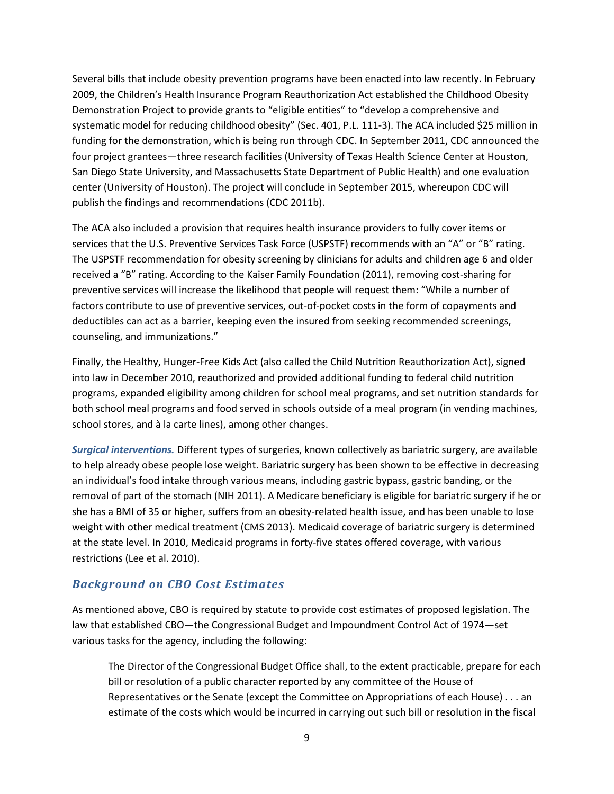Several bills that include obesity prevention programs have been enacted into law recently. In February 2009, the Children's Health Insurance Program Reauthorization Act established the Childhood Obesity Demonstration Project to provide grants to "eligible entities" to "develop a comprehensive and systematic model for reducing childhood obesity" (Sec. 401, P.L. 111-3). The ACA included \$25 million in funding for the demonstration, which is being run through CDC. In September 2011, CDC announced the four project grantees—three research facilities (University of Texas Health Science Center at Houston, San Diego State University, and Massachusetts State Department of Public Health) and one evaluation center (University of Houston). The project will conclude in September 2015, whereupon CDC will publish the findings and recommendations (CDC 2011b).

The ACA also included a provision that requires health insurance providers to fully cover items or services that the U.S. Preventive Services Task Force (USPSTF) recommends with an "A" or "B" rating. The USPSTF recommendation for obesity screening by clinicians for adults and children age 6 and older received a "B" rating. According to the Kaiser Family Foundation (2011), removing cost-sharing for preventive services will increase the likelihood that people will request them: "While a number of factors contribute to use of preventive services, out-of-pocket costs in the form of copayments and deductibles can act as a barrier, keeping even the insured from seeking recommended screenings, counseling, and immunizations."

Finally, the Healthy, Hunger-Free Kids Act (also called the Child Nutrition Reauthorization Act), signed into law in December 2010, reauthorized and provided additional funding to federal child nutrition programs, expanded eligibility among children for school meal programs, and set nutrition standards for both school meal programs and food served in schools outside of a meal program (in vending machines, school stores, and à la carte lines), among other changes.

*Surgical interventions.* Different types of surgeries, known collectively as bariatric surgery, are available to help already obese people lose weight. Bariatric surgery has been shown to be effective in decreasing an individual's food intake through various means, including gastric bypass, gastric banding, or the removal of part of the stomach (NIH 2011). A Medicare beneficiary is eligible for bariatric surgery if he or she has a BMI of 35 or higher, suffers from an obesity-related health issue, and has been unable to lose weight with other medical treatment (CMS 2013). Medicaid coverage of bariatric surgery is determined at the state level. In 2010, Medicaid programs in forty-five states offered coverage, with various restrictions (Lee et al. 2010).

### *Background on CBO Cost Estimates*

As mentioned above, CBO is required by statute to provide cost estimates of proposed legislation. The law that established CBO—the Congressional Budget and Impoundment Control Act of 1974—set various tasks for the agency, including the following:

The Director of the Congressional Budget Office shall, to the extent practicable, prepare for each bill or resolution of a public character reported by any committee of the House of Representatives or the Senate (except the Committee on Appropriations of each House) . . . an estimate of the costs which would be incurred in carrying out such bill or resolution in the fiscal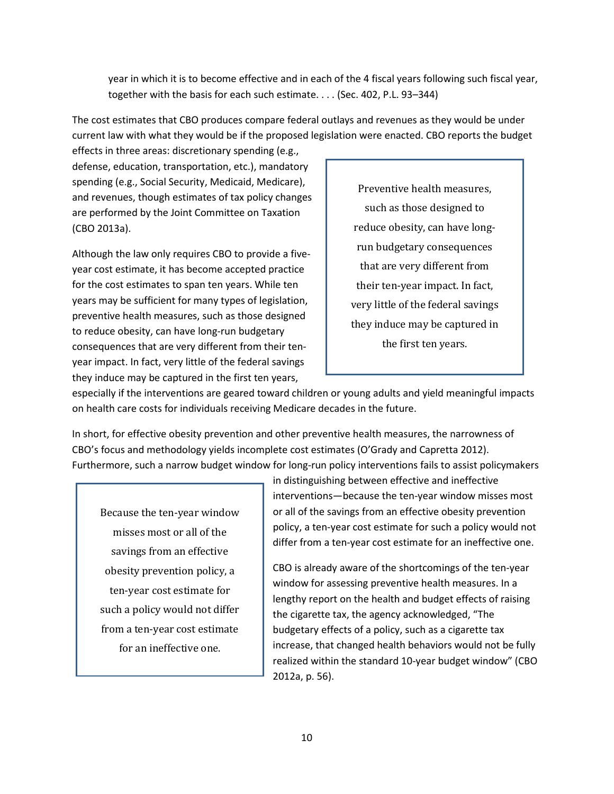year in which it is to become effective and in each of the 4 fiscal years following such fiscal year, together with the basis for each such estimate. . . . (Sec. 402, P.L. 93–344)

The cost estimates that CBO produces compare federal outlays and revenues as they would be under current law with what they would be if the proposed legislation were enacted. CBO reports the budget

effects in three areas: discretionary spending (e.g., defense, education, transportation, etc.), mandatory spending (e.g., Social Security, Medicaid, Medicare), and revenues, though estimates of tax policy changes are performed by the Joint Committee on Taxation (CBO 2013a).

Although the law only requires CBO to provide a fiveyear cost estimate, it has become accepted practice for the cost estimates to span ten years. While ten years may be sufficient for many types of legislation, preventive health measures, such as those designed to reduce obesity, can have long-run budgetary consequences that are very different from their tenyear impact. In fact, very little of the federal savings they induce may be captured in the first ten years,

Preventive health measures, such as those designed to reduce obesity, can have longrun budgetary consequences that are very different from their ten-year impact. In fact, very little of the federal savings they induce may be captured in the first ten years.

especially if the interventions are geared toward children or young adults and yield meaningful impacts on health care costs for individuals receiving Medicare decades in the future.

In short, for effective obesity prevention and other preventive health measures, the narrowness of CBO's focus and methodology yields incomplete cost estimates (O'Grady and Capretta 2012). Furthermore, such a narrow budget window for long-run policy interventions fails to assist policymakers

Because the ten-year window misses most or all of the savings from an effective obesity prevention policy, a ten-year cost estimate for such a policy would not differ from a ten-year cost estimate for an ineffective one.

in distinguishing between effective and ineffective interventions—because the ten-year window misses most or all of the savings from an effective obesity prevention policy, a ten-year cost estimate for such a policy would not differ from a ten-year cost estimate for an ineffective one.

CBO is already aware of the shortcomings of the ten-year window for assessing preventive health measures. In a lengthy report on the health and budget effects of raising the cigarette tax, the agency acknowledged, "The budgetary effects of a policy, such as a cigarette tax increase, that changed health behaviors would not be fully realized within the standard 10-year budget window" (CBO 2012a, p. 56).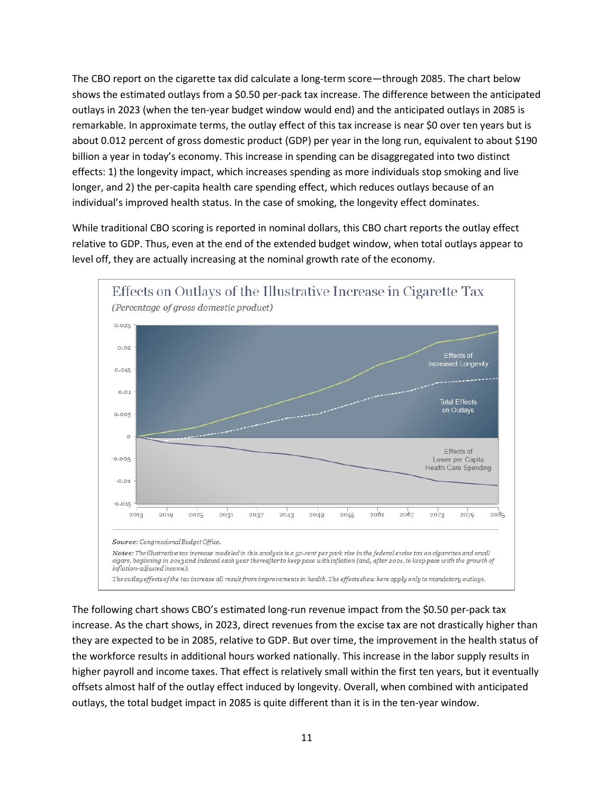The CBO report on the cigarette tax did calculate a long-term score—through 2085. The chart below shows the estimated outlays from a \$0.50 per-pack tax increase. The difference between the anticipated outlays in 2023 (when the ten-year budget window would end) and the anticipated outlays in 2085 is remarkable. In approximate terms, the outlay effect of this tax increase is near \$0 over ten years but is about 0.012 percent of gross domestic product (GDP) per year in the long run, equivalent to about \$190 billion a year in today's economy. This increase in spending can be disaggregated into two distinct effects: 1) the longevity impact, which increases spending as more individuals stop smoking and live longer, and 2) the per-capita health care spending effect, which reduces outlays because of an individual's improved health status. In the case of smoking, the longevity effect dominates.

While traditional CBO scoring is reported in nominal dollars, this CBO chart reports the outlay effect relative to GDP. Thus, even at the end of the extended budget window, when total outlays appear to level off, they are actually increasing at the nominal growth rate of the economy.



The following chart shows CBO's estimated long-run revenue impact from the \$0.50 per-pack tax increase. As the chart shows, in 2023, direct revenues from the excise tax are not drastically higher than they are expected to be in 2085, relative to GDP. But over time, the improvement in the health status of the workforce results in additional hours worked nationally. This increase in the labor supply results in higher payroll and income taxes. That effect is relatively small within the first ten years, but it eventually offsets almost half of the outlay effect induced by longevity. Overall, when combined with anticipated outlays, the total budget impact in 2085 is quite different than it is in the ten-year window.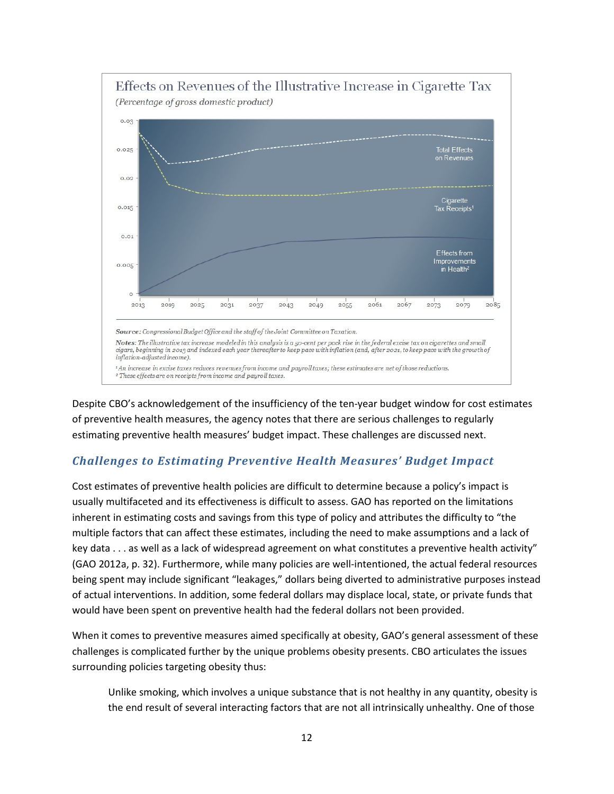

Despite CBO's acknowledgement of the insufficiency of the ten-year budget window for cost estimates of preventive health measures, the agency notes that there are serious challenges to regularly estimating preventive health measures' budget impact. These challenges are discussed next.

## *Challenges to Estimating Preventive Health Measures' Budget Impact*

Cost estimates of preventive health policies are difficult to determine because a policy's impact is usually multifaceted and its effectiveness is difficult to assess. GAO has reported on the limitations inherent in estimating costs and savings from this type of policy and attributes the difficulty to "the multiple factors that can affect these estimates, including the need to make assumptions and a lack of key data . . . as well as a lack of widespread agreement on what constitutes a preventive health activity" (GAO 2012a, p. 32). Furthermore, while many policies are well-intentioned, the actual federal resources being spent may include significant "leakages," dollars being diverted to administrative purposes instead of actual interventions. In addition, some federal dollars may displace local, state, or private funds that would have been spent on preventive health had the federal dollars not been provided.

When it comes to preventive measures aimed specifically at obesity, GAO's general assessment of these challenges is complicated further by the unique problems obesity presents. CBO articulates the issues surrounding policies targeting obesity thus:

Unlike smoking, which involves a unique substance that is not healthy in any quantity, obesity is the end result of several interacting factors that are not all intrinsically unhealthy. One of those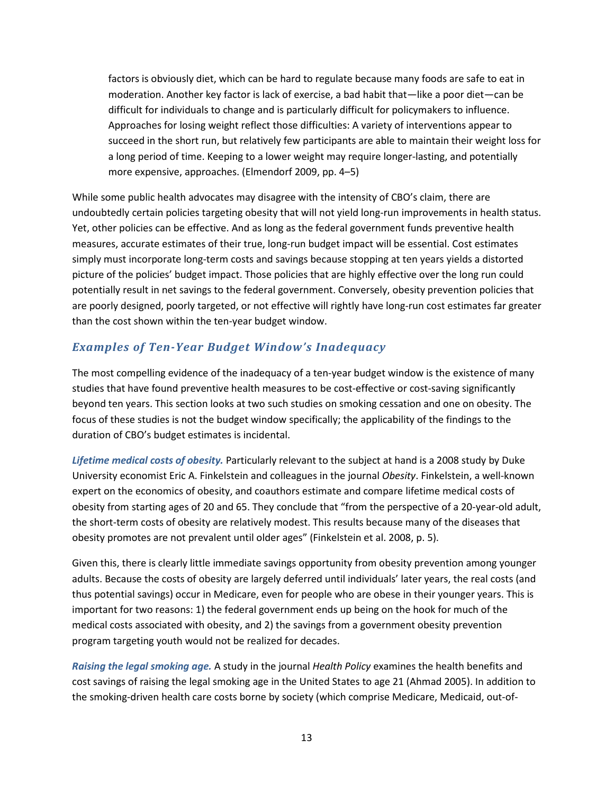factors is obviously diet, which can be hard to regulate because many foods are safe to eat in moderation. Another key factor is lack of exercise, a bad habit that—like a poor diet—can be difficult for individuals to change and is particularly difficult for policymakers to influence. Approaches for losing weight reflect those difficulties: A variety of interventions appear to succeed in the short run, but relatively few participants are able to maintain their weight loss for a long period of time. Keeping to a lower weight may require longer-lasting, and potentially more expensive, approaches. (Elmendorf 2009, pp. 4–5)

While some public health advocates may disagree with the intensity of CBO's claim, there are undoubtedly certain policies targeting obesity that will not yield long-run improvements in health status. Yet, other policies can be effective. And as long as the federal government funds preventive health measures, accurate estimates of their true, long-run budget impact will be essential. Cost estimates simply must incorporate long-term costs and savings because stopping at ten years yields a distorted picture of the policies' budget impact. Those policies that are highly effective over the long run could potentially result in net savings to the federal government. Conversely, obesity prevention policies that are poorly designed, poorly targeted, or not effective will rightly have long-run cost estimates far greater than the cost shown within the ten-year budget window.

# *Examples of Ten-Year Budget Window's Inadequacy*

The most compelling evidence of the inadequacy of a ten-year budget window is the existence of many studies that have found preventive health measures to be cost-effective or cost-saving significantly beyond ten years. This section looks at two such studies on smoking cessation and one on obesity. The focus of these studies is not the budget window specifically; the applicability of the findings to the duration of CBO's budget estimates is incidental.

*Lifetime medical costs of obesity.* Particularly relevant to the subject at hand is a 2008 study by Duke University economist Eric A. Finkelstein and colleagues in the journal *Obesity*. Finkelstein, a well-known expert on the economics of obesity, and coauthors estimate and compare lifetime medical costs of obesity from starting ages of 20 and 65. They conclude that "from the perspective of a 20-year-old adult, the short-term costs of obesity are relatively modest. This results because many of the diseases that obesity promotes are not prevalent until older ages" (Finkelstein et al. 2008, p. 5).

Given this, there is clearly little immediate savings opportunity from obesity prevention among younger adults. Because the costs of obesity are largely deferred until individuals' later years, the real costs (and thus potential savings) occur in Medicare, even for people who are obese in their younger years. This is important for two reasons: 1) the federal government ends up being on the hook for much of the medical costs associated with obesity, and 2) the savings from a government obesity prevention program targeting youth would not be realized for decades.

*Raising the legal smoking age.* A study in the journal *Health Policy* examines the health benefits and cost savings of raising the legal smoking age in the United States to age 21 (Ahmad 2005). In addition to the smoking-driven health care costs borne by society (which comprise Medicare, Medicaid, out-of-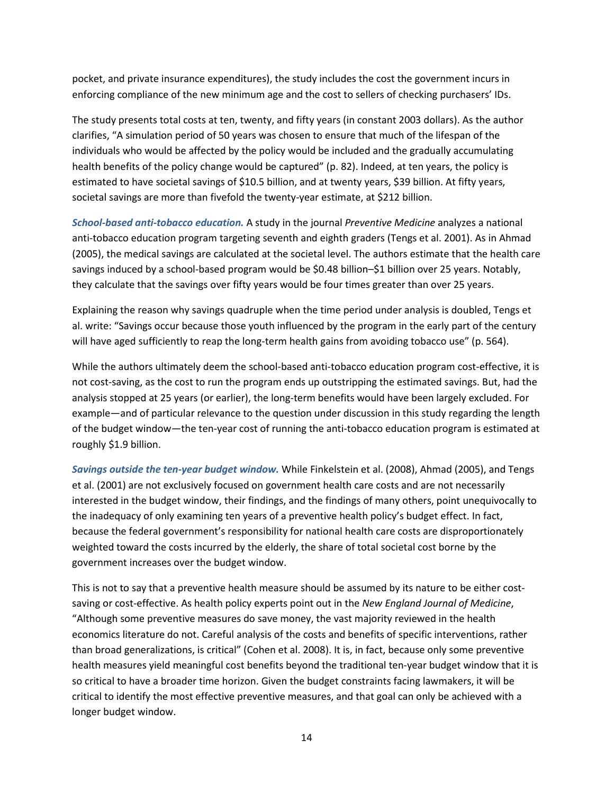pocket, and private insurance expenditures), the study includes the cost the government incurs in enforcing compliance of the new minimum age and the cost to sellers of checking purchasers' IDs.

The study presents total costs at ten, twenty, and fifty years (in constant 2003 dollars). As the author clarifies, "A simulation period of 50 years was chosen to ensure that much of the lifespan of the individuals who would be affected by the policy would be included and the gradually accumulating health benefits of the policy change would be captured" (p. 82). Indeed, at ten years, the policy is estimated to have societal savings of \$10.5 billion, and at twenty years, \$39 billion. At fifty years, societal savings are more than fivefold the twenty-year estimate, at \$212 billion.

*School-based anti-tobacco education.* A study in the journal *Preventive Medicine* analyzes a national anti-tobacco education program targeting seventh and eighth graders (Tengs et al. 2001). As in Ahmad (2005), the medical savings are calculated at the societal level. The authors estimate that the health care savings induced by a school-based program would be \$0.48 billion–\$1 billion over 25 years. Notably, they calculate that the savings over fifty years would be four times greater than over 25 years.

Explaining the reason why savings quadruple when the time period under analysis is doubled, Tengs et al. write: "Savings occur because those youth influenced by the program in the early part of the century will have aged sufficiently to reap the long-term health gains from avoiding tobacco use" (p. 564).

While the authors ultimately deem the school-based anti-tobacco education program cost-effective, it is not cost-saving, as the cost to run the program ends up outstripping the estimated savings. But, had the analysis stopped at 25 years (or earlier), the long-term benefits would have been largely excluded. For example—and of particular relevance to the question under discussion in this study regarding the length of the budget window—the ten-year cost of running the anti-tobacco education program is estimated at roughly \$1.9 billion.

*Savings outside the ten-year budget window.* While Finkelstein et al. (2008), Ahmad (2005), and Tengs et al. (2001) are not exclusively focused on government health care costs and are not necessarily interested in the budget window, their findings, and the findings of many others, point unequivocally to the inadequacy of only examining ten years of a preventive health policy's budget effect. In fact, because the federal government's responsibility for national health care costs are disproportionately weighted toward the costs incurred by the elderly, the share of total societal cost borne by the government increases over the budget window.

This is not to say that a preventive health measure should be assumed by its nature to be either costsaving or cost-effective. As health policy experts point out in the *New England Journal of Medicine*, "Although some preventive measures do save money, the vast majority reviewed in the health economics literature do not. Careful analysis of the costs and benefits of specific interventions, rather than broad generalizations, is critical" (Cohen et al. 2008). It is, in fact, because only some preventive health measures yield meaningful cost benefits beyond the traditional ten-year budget window that it is so critical to have a broader time horizon. Given the budget constraints facing lawmakers, it will be critical to identify the most effective preventive measures, and that goal can only be achieved with a longer budget window.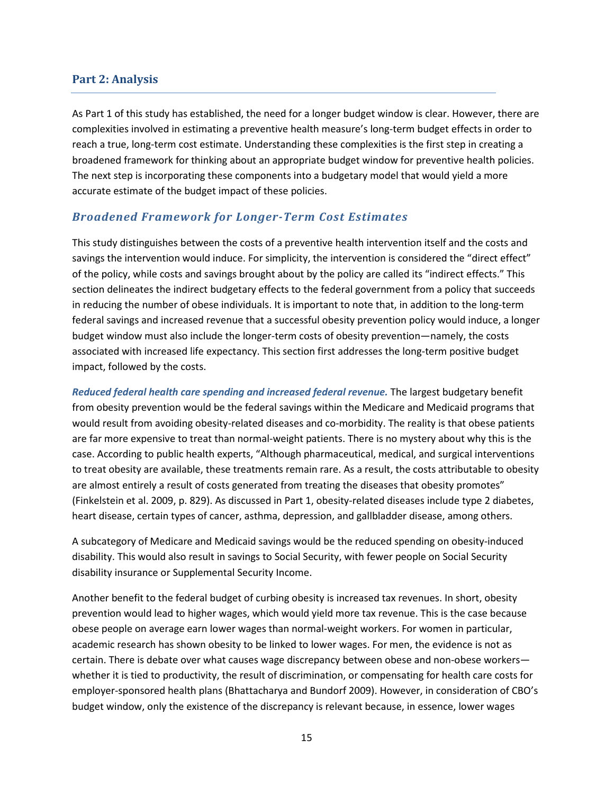### **Part 2: Analysis**

As Part 1 of this study has established, the need for a longer budget window is clear. However, there are complexities involved in estimating a preventive health measure's long-term budget effects in order to reach a true, long-term cost estimate. Understanding these complexities is the first step in creating a broadened framework for thinking about an appropriate budget window for preventive health policies. The next step is incorporating these components into a budgetary model that would yield a more accurate estimate of the budget impact of these policies.

### *Broadened Framework for Longer-Term Cost Estimates*

This study distinguishes between the costs of a preventive health intervention itself and the costs and savings the intervention would induce. For simplicity, the intervention is considered the "direct effect" of the policy, while costs and savings brought about by the policy are called its "indirect effects." This section delineates the indirect budgetary effects to the federal government from a policy that succeeds in reducing the number of obese individuals. It is important to note that, in addition to the long-term federal savings and increased revenue that a successful obesity prevention policy would induce, a longer budget window must also include the longer-term costs of obesity prevention—namely, the costs associated with increased life expectancy. This section first addresses the long-term positive budget impact, followed by the costs.

*Reduced federal health care spending and increased federal revenue.* The largest budgetary benefit from obesity prevention would be the federal savings within the Medicare and Medicaid programs that would result from avoiding obesity-related diseases and co-morbidity. The reality is that obese patients are far more expensive to treat than normal-weight patients. There is no mystery about why this is the case. According to public health experts, "Although pharmaceutical, medical, and surgical interventions to treat obesity are available, these treatments remain rare. As a result, the costs attributable to obesity are almost entirely a result of costs generated from treating the diseases that obesity promotes" (Finkelstein et al. 2009, p. 829). As discussed in Part 1, obesity-related diseases include type 2 diabetes, heart disease, certain types of cancer, asthma, depression, and gallbladder disease, among others.

A subcategory of Medicare and Medicaid savings would be the reduced spending on obesity-induced disability. This would also result in savings to Social Security, with fewer people on Social Security disability insurance or Supplemental Security Income.

Another benefit to the federal budget of curbing obesity is increased tax revenues. In short, obesity prevention would lead to higher wages, which would yield more tax revenue. This is the case because obese people on average earn lower wages than normal-weight workers. For women in particular, academic research has shown obesity to be linked to lower wages. For men, the evidence is not as certain. There is debate over what causes wage discrepancy between obese and non-obese workers whether it is tied to productivity, the result of discrimination, or compensating for health care costs for employer-sponsored health plans (Bhattacharya and Bundorf 2009). However, in consideration of CBO's budget window, only the existence of the discrepancy is relevant because, in essence, lower wages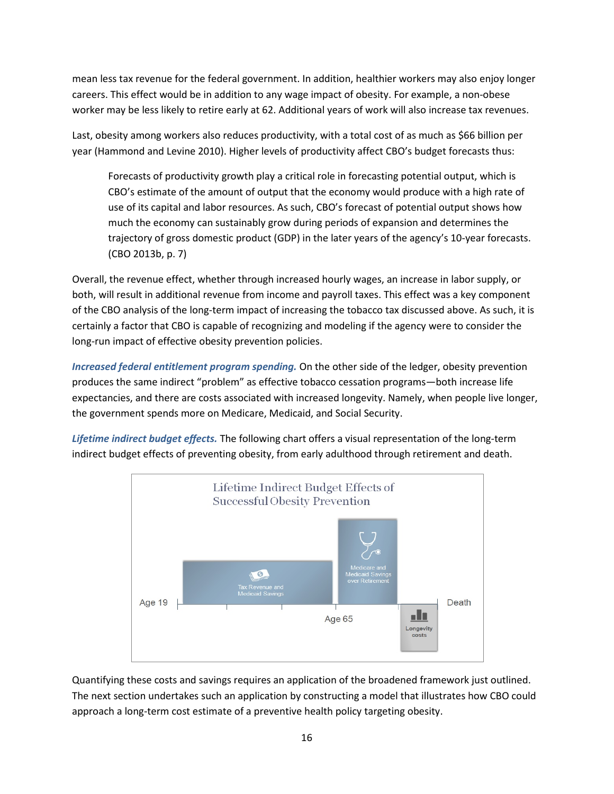mean less tax revenue for the federal government. In addition, healthier workers may also enjoy longer careers. This effect would be in addition to any wage impact of obesity. For example, a non-obese worker may be less likely to retire early at 62. Additional years of work will also increase tax revenues.

Last, obesity among workers also reduces productivity, with a total cost of as much as \$66 billion per year (Hammond and Levine 2010). Higher levels of productivity affect CBO's budget forecasts thus:

Forecasts of productivity growth play a critical role in forecasting potential output, which is CBO's estimate of the amount of output that the economy would produce with a high rate of use of its capital and labor resources. As such, CBO's forecast of potential output shows how much the economy can sustainably grow during periods of expansion and determines the trajectory of gross domestic product (GDP) in the later years of the agency's 10-year forecasts. (CBO 2013b, p. 7)

Overall, the revenue effect, whether through increased hourly wages, an increase in labor supply, or both, will result in additional revenue from income and payroll taxes. This effect was a key component of the CBO analysis of the long-term impact of increasing the tobacco tax discussed above. As such, it is certainly a factor that CBO is capable of recognizing and modeling if the agency were to consider the long-run impact of effective obesity prevention policies.

*Increased federal entitlement program spending.* On the other side of the ledger, obesity prevention produces the same indirect "problem" as effective tobacco cessation programs—both increase life expectancies, and there are costs associated with increased longevity. Namely, when people live longer, the government spends more on Medicare, Medicaid, and Social Security.

*Lifetime indirect budget effects.* The following chart offers a visual representation of the long-term indirect budget effects of preventing obesity, from early adulthood through retirement and death.



Quantifying these costs and savings requires an application of the broadened framework just outlined. The next section undertakes such an application by constructing a model that illustrates how CBO could approach a long-term cost estimate of a preventive health policy targeting obesity.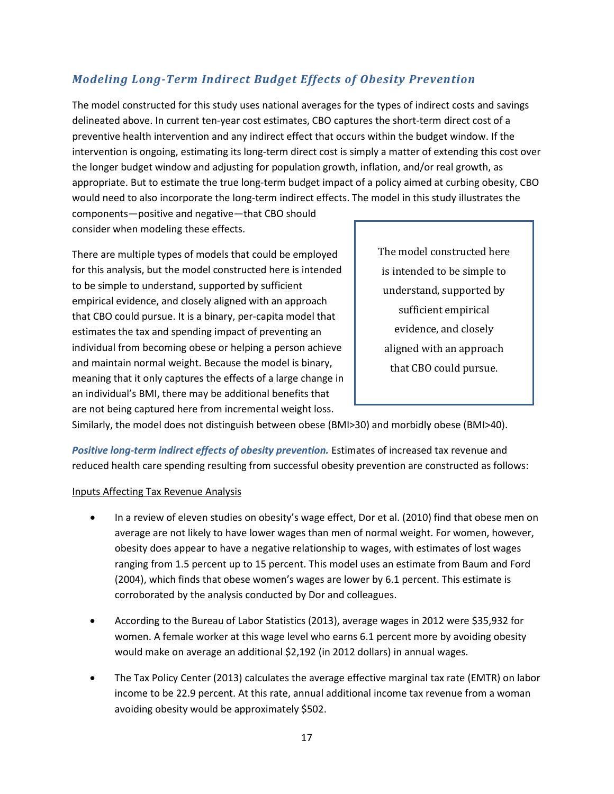# *Modeling Long-Term Indirect Budget Effects of Obesity Prevention*

The model constructed for this study uses national averages for the types of indirect costs and savings delineated above. In current ten-year cost estimates, CBO captures the short-term direct cost of a preventive health intervention and any indirect effect that occurs within the budget window. If the intervention is ongoing, estimating its long-term direct cost is simply a matter of extending this cost over the longer budget window and adjusting for population growth, inflation, and/or real growth, as appropriate. But to estimate the true long-term budget impact of a policy aimed at curbing obesity, CBO would need to also incorporate the long-term indirect effects. The model in this study illustrates the

components—positive and negative—that CBO should consider when modeling these effects.

There are multiple types of models that could be employed for this analysis, but the model constructed here is intended to be simple to understand, supported by sufficient empirical evidence, and closely aligned with an approach that CBO could pursue. It is a binary, per-capita model that estimates the tax and spending impact of preventing an individual from becoming obese or helping a person achieve and maintain normal weight. Because the model is binary, meaning that it only captures the effects of a large change in an individual's BMI, there may be additional benefits that are not being captured here from incremental weight loss.

The model constructed here is intended to be simple to understand, supported by sufficient empirical evidence, and closely aligned with an approach that CBO could pursue.

Similarly, the model does not distinguish between obese (BMI>30) and morbidly obese (BMI>40).

*Positive long-term indirect effects of obesity prevention.* Estimates of increased tax revenue and reduced health care spending resulting from successful obesity prevention are constructed as follows:

### Inputs Affecting Tax Revenue Analysis

- In a review of eleven studies on obesity's wage effect, Dor et al. (2010) find that obese men on average are not likely to have lower wages than men of normal weight. For women, however, obesity does appear to have a negative relationship to wages, with estimates of lost wages ranging from 1.5 percent up to 15 percent. This model uses an estimate from Baum and Ford (2004), which finds that obese women's wages are lower by 6.1 percent. This estimate is corroborated by the analysis conducted by Dor and colleagues.
- According to the Bureau of Labor Statistics (2013), average wages in 2012 were \$35,932 for women. A female worker at this wage level who earns 6.1 percent more by avoiding obesity would make on average an additional \$2,192 (in 2012 dollars) in annual wages.
- The Tax Policy Center (2013) calculates the average effective marginal tax rate (EMTR) on labor income to be 22.9 percent. At this rate, annual additional income tax revenue from a woman avoiding obesity would be approximately \$502.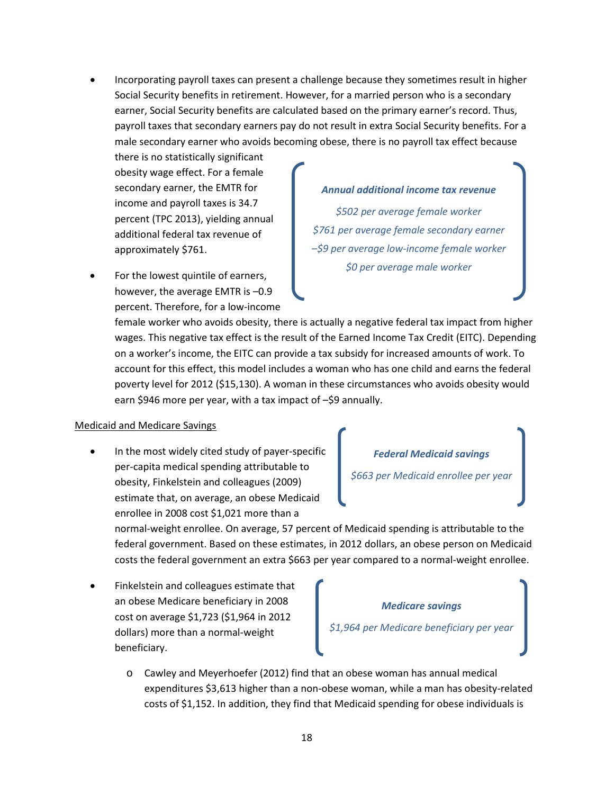• Incorporating payroll taxes can present a challenge because they sometimes result in higher Social Security benefits in retirement. However, for a married person who is a secondary earner, Social Security benefits are calculated based on the primary earner's record. Thus, payroll taxes that secondary earners pay do not result in extra Social Security benefits. For a male secondary earner who avoids becoming obese, there is no payroll tax effect because

there is no statistically significant obesity wage effect. For a female secondary earner, the EMTR for income and payroll taxes is 34.7 percent (TPC 2013), yielding annual additional federal tax revenue of approximately \$761.

For the lowest quintile of earners, however, the average EMTR is –0.9 percent. Therefore, for a low-income

#### *Annual additional income tax revenue*

*\$502 per average female worker \$761 per average female secondary earner –\$9 per average low-income female worker \$0 per average male worker*

female worker who avoids obesity, there is actually a negative federal tax impact from higher wages. This negative tax effect is the result of the Earned Income Tax Credit (EITC). Depending on a worker's income, the EITC can provide a tax subsidy for increased amounts of work. To account for this effect, this model includes a woman who has one child and earns the federal poverty level for 2012 (\$15,130). A woman in these circumstances who avoids obesity would earn \$946 more per year, with a tax impact of -\$9 annually.

#### Medicaid and Medicare Savings

In the most widely cited study of payer-specific per-capita medical spending attributable to obesity, Finkelstein and colleagues (2009) estimate that, on average, an obese Medicaid enrollee in 2008 cost \$1,021 more than a

*Federal Medicaid savings*

*\$663 per Medicaid enrollee per year*

normal-weight enrollee. On average, 57 percent of Medicaid spending is attributable to the federal government. Based on these estimates, in 2012 dollars, an obese person on Medicaid costs the federal government an extra \$663 per year compared to a normal-weight enrollee.

• Finkelstein and colleagues estimate that an obese Medicare beneficiary in 2008 cost on average \$1,723 (\$1,964 in 2012 dollars) more than a normal-weight beneficiary.

#### *Medicare savings*

*\$1,964 per Medicare beneficiary per year*

o Cawley and Meyerhoefer (2012) find that an obese woman has annual medical expenditures \$3,613 higher than a non-obese woman, while a man has obesity-related costs of \$1,152. In addition, they find that Medicaid spending for obese individuals is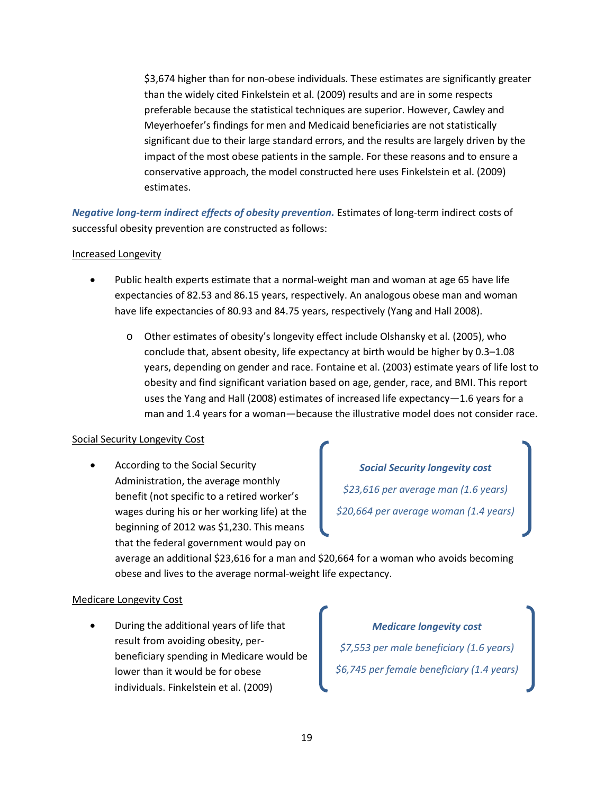\$3,674 higher than for non-obese individuals. These estimates are significantly greater than the widely cited Finkelstein et al. (2009) results and are in some respects preferable because the statistical techniques are superior. However, Cawley and Meyerhoefer's findings for men and Medicaid beneficiaries are not statistically significant due to their large standard errors, and the results are largely driven by the impact of the most obese patients in the sample. For these reasons and to ensure a conservative approach, the model constructed here uses Finkelstein et al. (2009) estimates.

*Negative long-term indirect effects of obesity prevention.* Estimates of long-term indirect costs of successful obesity prevention are constructed as follows:

### Increased Longevity

- Public health experts estimate that a normal-weight man and woman at age 65 have life expectancies of 82.53 and 86.15 years, respectively. An analogous obese man and woman have life expectancies of 80.93 and 84.75 years, respectively (Yang and Hall 2008).
	- o Other estimates of obesity's longevity effect include Olshansky et al. (2005), who conclude that, absent obesity, life expectancy at birth would be higher by 0.3–1.08 years, depending on gender and race. Fontaine et al. (2003) estimate years of life lost to obesity and find significant variation based on age, gender, race, and BMI. This report uses the Yang and Hall (2008) estimates of increased life expectancy—1.6 years for a man and 1.4 years for a woman—because the illustrative model does not consider race.

#### Social Security Longevity Cost

• According to the Social Security Administration, the average monthly benefit (not specific to a retired worker's wages during his or her working life) at the beginning of 2012 was \$1,230. This means that the federal government would pay on

*Social Security longevity cost \$23,616 per average man (1.6 years) \$20,664 per average woman (1.4 years)*

average an additional \$23,616 for a man and \$20,664 for a woman who avoids becoming obese and lives to the average normal-weight life expectancy.

#### Medicare Longevity Cost

• During the additional years of life that result from avoiding obesity, perbeneficiary spending in Medicare would be lower than it would be for obese individuals. Finkelstein et al. (2009)

*Medicare longevity cost \$7,553 per male beneficiary (1.6 years) \$6,745 per female beneficiary (1.4 years)*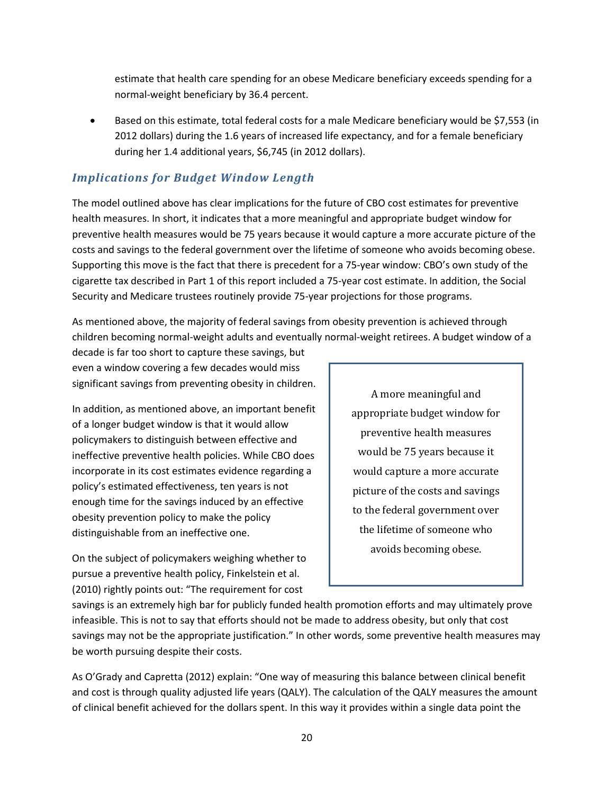estimate that health care spending for an obese Medicare beneficiary exceeds spending for a normal-weight beneficiary by 36.4 percent.

• Based on this estimate, total federal costs for a male Medicare beneficiary would be \$7,553 (in 2012 dollars) during the 1.6 years of increased life expectancy, and for a female beneficiary during her 1.4 additional years, \$6,745 (in 2012 dollars).

# *Implications for Budget Window Length*

The model outlined above has clear implications for the future of CBO cost estimates for preventive health measures. In short, it indicates that a more meaningful and appropriate budget window for preventive health measures would be 75 years because it would capture a more accurate picture of the costs and savings to the federal government over the lifetime of someone who avoids becoming obese. Supporting this move is the fact that there is precedent for a 75-year window: CBO's own study of the cigarette tax described in Part 1 of this report included a 75-year cost estimate. In addition, the Social Security and Medicare trustees routinely provide 75-year projections for those programs.

As mentioned above, the majority of federal savings from obesity prevention is achieved through children becoming normal-weight adults and eventually normal-weight retirees. A budget window of a

decade is far too short to capture these savings, but even a window covering a few decades would miss significant savings from preventing obesity in children.

In addition, as mentioned above, an important benefit of a longer budget window is that it would allow policymakers to distinguish between effective and ineffective preventive health policies. While CBO does incorporate in its cost estimates evidence regarding a policy's estimated effectiveness, ten years is not enough time for the savings induced by an effective obesity prevention policy to make the policy distinguishable from an ineffective one.

On the subject of policymakers weighing whether to pursue a preventive health policy, Finkelstein et al. (2010) rightly points out: "The requirement for cost

A more meaningful and appropriate budget window for preventive health measures would be 75 years because it would capture a more accurate picture of the costs and savings to the federal government over the lifetime of someone who avoids becoming obese.

savings is an extremely high bar for publicly funded health promotion efforts and may ultimately prove infeasible. This is not to say that efforts should not be made to address obesity, but only that cost savings may not be the appropriate justification." In other words, some preventive health measures may be worth pursuing despite their costs.

As O'Grady and Capretta (2012) explain: "One way of measuring this balance between clinical benefit and cost is through quality adjusted life years (QALY). The calculation of the QALY measures the amount of clinical benefit achieved for the dollars spent. In this way it provides within a single data point the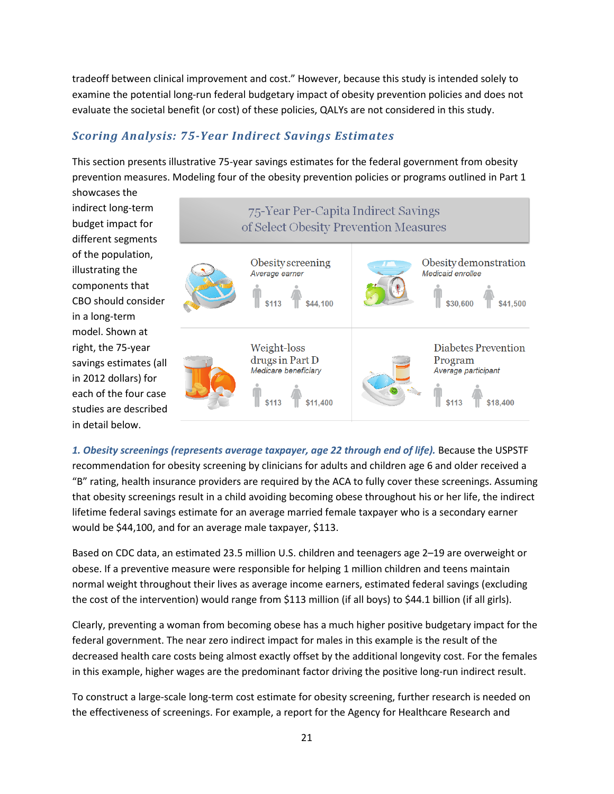tradeoff between clinical improvement and cost." However, because this study is intended solely to examine the potential long-run federal budgetary impact of obesity prevention policies and does not evaluate the societal benefit (or cost) of these policies, QALYs are not considered in this study.

# *Scoring Analysis: 75-Year Indirect Savings Estimates*

This section presents illustrative 75-year savings estimates for the federal government from obesity prevention measures. Modeling four of the obesity prevention policies or programs outlined in Part 1 showcases the



*1. Obesity screenings (represents average taxpayer, age 22 through end of life).* Because the USPSTF recommendation for obesity screening by clinicians for adults and children age 6 and older received a "B" rating, health insurance providers are required by the ACA to fully cover these screenings. Assuming that obesity screenings result in a child avoiding becoming obese throughout his or her life, the indirect lifetime federal savings estimate for an average married female taxpayer who is a secondary earner would be \$44,100, and for an average male taxpayer, \$113.

Based on CDC data, an estimated 23.5 million U.S. children and teenagers age 2–19 are overweight or obese. If a preventive measure were responsible for helping 1 million children and teens maintain normal weight throughout their lives as average income earners, estimated federal savings (excluding the cost of the intervention) would range from \$113 million (if all boys) to \$44.1 billion (if all girls).

Clearly, preventing a woman from becoming obese has a much higher positive budgetary impact for the federal government. The near zero indirect impact for males in this example is the result of the decreased health care costs being almost exactly offset by the additional longevity cost. For the females in this example, higher wages are the predominant factor driving the positive long-run indirect result.

To construct a large-scale long-term cost estimate for obesity screening, further research is needed on the effectiveness of screenings. For example, a report for the Agency for Healthcare Research and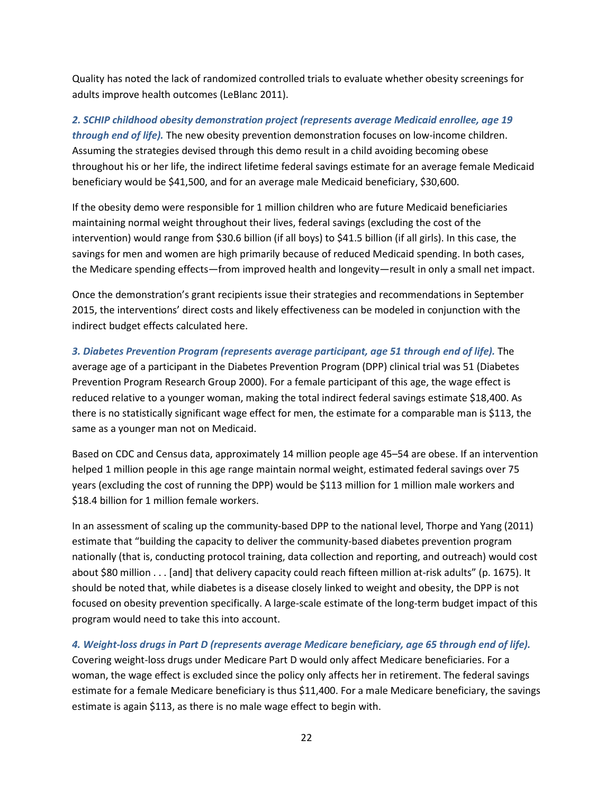Quality has noted the lack of randomized controlled trials to evaluate whether obesity screenings for adults improve health outcomes (LeBlanc 2011).

*2. SCHIP childhood obesity demonstration project (represents average Medicaid enrollee, age 19 through end of life).* The new obesity prevention demonstration focuses on low-income children. Assuming the strategies devised through this demo result in a child avoiding becoming obese throughout his or her life, the indirect lifetime federal savings estimate for an average female Medicaid beneficiary would be \$41,500, and for an average male Medicaid beneficiary, \$30,600.

If the obesity demo were responsible for 1 million children who are future Medicaid beneficiaries maintaining normal weight throughout their lives, federal savings (excluding the cost of the intervention) would range from \$30.6 billion (if all boys) to \$41.5 billion (if all girls). In this case, the savings for men and women are high primarily because of reduced Medicaid spending. In both cases, the Medicare spending effects—from improved health and longevity—result in only a small net impact.

Once the demonstration's grant recipients issue their strategies and recommendations in September 2015, the interventions' direct costs and likely effectiveness can be modeled in conjunction with the indirect budget effects calculated here.

# *3. Diabetes Prevention Program (represents average participant, age 51 through end of life).* The average age of a participant in the Diabetes Prevention Program (DPP) clinical trial was 51 (Diabetes Prevention Program Research Group 2000). For a female participant of this age, the wage effect is reduced relative to a younger woman, making the total indirect federal savings estimate \$18,400. As there is no statistically significant wage effect for men, the estimate for a comparable man is \$113, the same as a younger man not on Medicaid.

Based on CDC and Census data, approximately 14 million people age 45–54 are obese. If an intervention helped 1 million people in this age range maintain normal weight, estimated federal savings over 75 years (excluding the cost of running the DPP) would be \$113 million for 1 million male workers and \$18.4 billion for 1 million female workers.

In an assessment of scaling up the community-based DPP to the national level, Thorpe and Yang (2011) estimate that "building the capacity to deliver the community-based diabetes prevention program nationally (that is, conducting protocol training, data collection and reporting, and outreach) would cost about \$80 million . . . [and] that delivery capacity could reach fifteen million at-risk adults" (p. 1675). It should be noted that, while diabetes is a disease closely linked to weight and obesity, the DPP is not focused on obesity prevention specifically. A large-scale estimate of the long-term budget impact of this program would need to take this into account.

*4. Weight-loss drugs in Part D (represents average Medicare beneficiary, age 65 through end of life).* Covering weight-loss drugs under Medicare Part D would only affect Medicare beneficiaries. For a woman, the wage effect is excluded since the policy only affects her in retirement. The federal savings estimate for a female Medicare beneficiary is thus \$11,400. For a male Medicare beneficiary, the savings estimate is again \$113, as there is no male wage effect to begin with.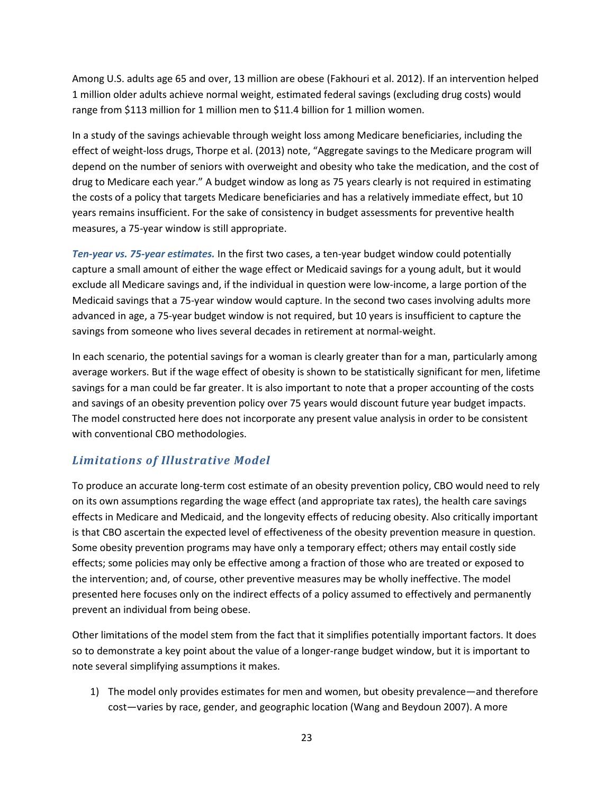Among U.S. adults age 65 and over, 13 million are obese (Fakhouri et al. 2012). If an intervention helped 1 million older adults achieve normal weight, estimated federal savings (excluding drug costs) would range from \$113 million for 1 million men to \$11.4 billion for 1 million women.

In a study of the savings achievable through weight loss among Medicare beneficiaries, including the effect of weight-loss drugs, Thorpe et al. (2013) note, "Aggregate savings to the Medicare program will depend on the number of seniors with overweight and obesity who take the medication, and the cost of drug to Medicare each year." A budget window as long as 75 years clearly is not required in estimating the costs of a policy that targets Medicare beneficiaries and has a relatively immediate effect, but 10 years remains insufficient. For the sake of consistency in budget assessments for preventive health measures, a 75-year window is still appropriate.

*Ten-year vs. 75-year estimates.* In the first two cases, a ten-year budget window could potentially capture a small amount of either the wage effect or Medicaid savings for a young adult, but it would exclude all Medicare savings and, if the individual in question were low-income, a large portion of the Medicaid savings that a 75-year window would capture. In the second two cases involving adults more advanced in age, a 75-year budget window is not required, but 10 years is insufficient to capture the savings from someone who lives several decades in retirement at normal-weight.

In each scenario, the potential savings for a woman is clearly greater than for a man, particularly among average workers. But if the wage effect of obesity is shown to be statistically significant for men, lifetime savings for a man could be far greater. It is also important to note that a proper accounting of the costs and savings of an obesity prevention policy over 75 years would discount future year budget impacts. The model constructed here does not incorporate any present value analysis in order to be consistent with conventional CBO methodologies.

# *Limitations of Illustrative Model*

To produce an accurate long-term cost estimate of an obesity prevention policy, CBO would need to rely on its own assumptions regarding the wage effect (and appropriate tax rates), the health care savings effects in Medicare and Medicaid, and the longevity effects of reducing obesity. Also critically important is that CBO ascertain the expected level of effectiveness of the obesity prevention measure in question. Some obesity prevention programs may have only a temporary effect; others may entail costly side effects; some policies may only be effective among a fraction of those who are treated or exposed to the intervention; and, of course, other preventive measures may be wholly ineffective. The model presented here focuses only on the indirect effects of a policy assumed to effectively and permanently prevent an individual from being obese.

Other limitations of the model stem from the fact that it simplifies potentially important factors. It does so to demonstrate a key point about the value of a longer-range budget window, but it is important to note several simplifying assumptions it makes.

1) The model only provides estimates for men and women, but obesity prevalence—and therefore cost—varies by race, gender, and geographic location (Wang and Beydoun 2007). A more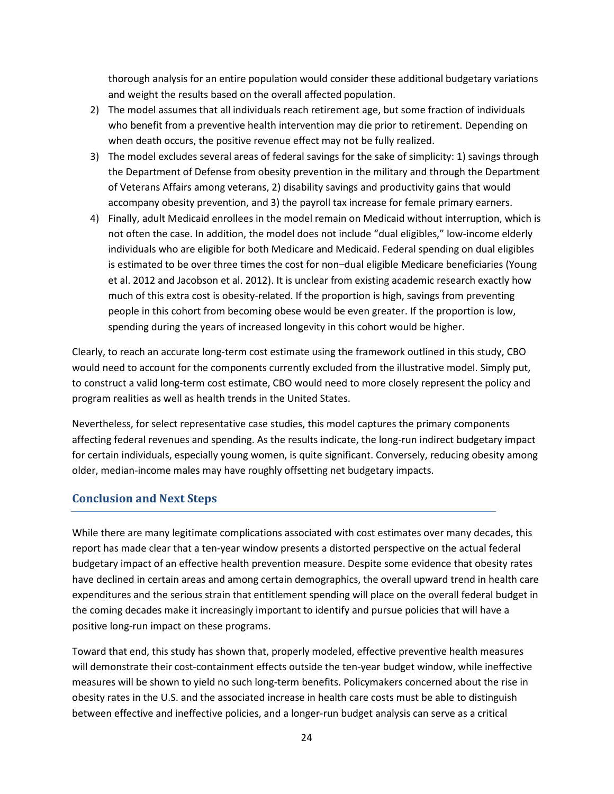thorough analysis for an entire population would consider these additional budgetary variations and weight the results based on the overall affected population.

- 2) The model assumes that all individuals reach retirement age, but some fraction of individuals who benefit from a preventive health intervention may die prior to retirement. Depending on when death occurs, the positive revenue effect may not be fully realized.
- 3) The model excludes several areas of federal savings for the sake of simplicity: 1) savings through the Department of Defense from obesity prevention in the military and through the Department of Veterans Affairs among veterans, 2) disability savings and productivity gains that would accompany obesity prevention, and 3) the payroll tax increase for female primary earners.
- 4) Finally, adult Medicaid enrollees in the model remain on Medicaid without interruption, which is not often the case. In addition, the model does not include "dual eligibles," low-income elderly individuals who are eligible for both Medicare and Medicaid. Federal spending on dual eligibles is estimated to be over three times the cost for non–dual eligible Medicare beneficiaries (Young et al. 2012 and Jacobson et al. 2012). It is unclear from existing academic research exactly how much of this extra cost is obesity-related. If the proportion is high, savings from preventing people in this cohort from becoming obese would be even greater. If the proportion is low, spending during the years of increased longevity in this cohort would be higher.

Clearly, to reach an accurate long-term cost estimate using the framework outlined in this study, CBO would need to account for the components currently excluded from the illustrative model. Simply put, to construct a valid long-term cost estimate, CBO would need to more closely represent the policy and program realities as well as health trends in the United States.

Nevertheless, for select representative case studies, this model captures the primary components affecting federal revenues and spending. As the results indicate, the long-run indirect budgetary impact for certain individuals, especially young women, is quite significant. Conversely, reducing obesity among older, median-income males may have roughly offsetting net budgetary impacts.

### **Conclusion and Next Steps**

While there are many legitimate complications associated with cost estimates over many decades, this report has made clear that a ten-year window presents a distorted perspective on the actual federal budgetary impact of an effective health prevention measure. Despite some evidence that obesity rates have declined in certain areas and among certain demographics, the overall upward trend in health care expenditures and the serious strain that entitlement spending will place on the overall federal budget in the coming decades make it increasingly important to identify and pursue policies that will have a positive long-run impact on these programs.

Toward that end, this study has shown that, properly modeled, effective preventive health measures will demonstrate their cost-containment effects outside the ten-year budget window, while ineffective measures will be shown to yield no such long-term benefits. Policymakers concerned about the rise in obesity rates in the U.S. and the associated increase in health care costs must be able to distinguish between effective and ineffective policies, and a longer-run budget analysis can serve as a critical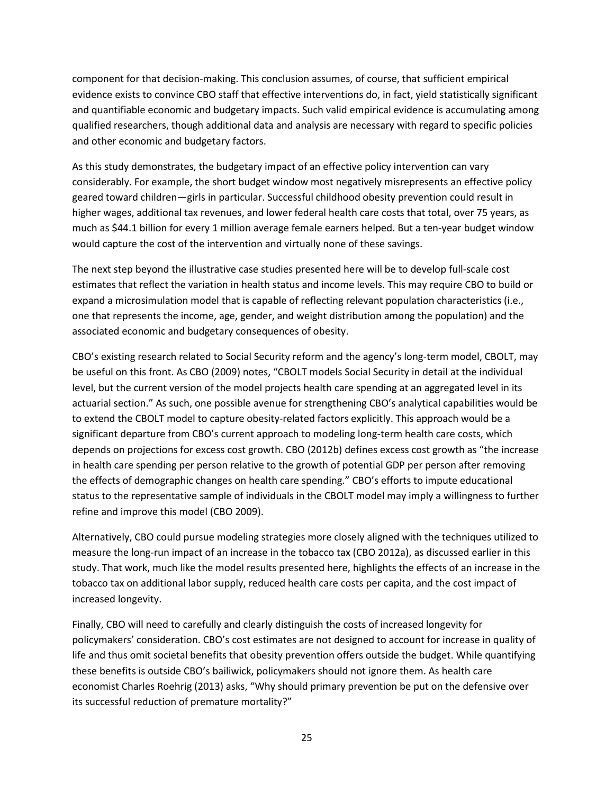component for that decision-making. This conclusion assumes, of course, that sufficient empirical evidence exists to convince CBO staff that effective interventions do, in fact, yield statistically significant and quantifiable economic and budgetary impacts. Such valid empirical evidence is accumulating among qualified researchers, though additional data and analysis are necessary with regard to specific policies and other economic and budgetary factors.

As this study demonstrates, the budgetary impact of an effective policy intervention can vary considerably. For example, the short budget window most negatively misrepresents an effective policy geared toward children—girls in particular. Successful childhood obesity prevention could result in higher wages, additional tax revenues, and lower federal health care costs that total, over 75 years, as much as \$44.1 billion for every 1 million average female earners helped. But a ten-year budget window would capture the cost of the intervention and virtually none of these savings.

The next step beyond the illustrative case studies presented here will be to develop full-scale cost estimates that reflect the variation in health status and income levels. This may require CBO to build or expand a microsimulation model that is capable of reflecting relevant population characteristics (i.e., one that represents the income, age, gender, and weight distribution among the population) and the associated economic and budgetary consequences of obesity.

CBO's existing research related to Social Security reform and the agency's long-term model, CBOLT, may be useful on this front. As CBO (2009) notes, "CBOLT models Social Security in detail at the individual level, but the current version of the model projects health care spending at an aggregated level in its actuarial section." As such, one possible avenue for strengthening CBO's analytical capabilities would be to extend the CBOLT model to capture obesity-related factors explicitly. This approach would be a significant departure from CBO's current approach to modeling long-term health care costs, which depends on projections for excess cost growth. CBO (2012b) defines excess cost growth as "the increase in health care spending per person relative to the growth of potential GDP per person after removing the effects of demographic changes on health care spending." CBO's efforts to impute educational status to the representative sample of individuals in the CBOLT model may imply a willingness to further refine and improve this model (CBO 2009).

Alternatively, CBO could pursue modeling strategies more closely aligned with the techniques utilized to measure the long-run impact of an increase in the tobacco tax (CBO 2012a), as discussed earlier in this study. That work, much like the model results presented here, highlights the effects of an increase in the tobacco tax on additional labor supply, reduced health care costs per capita, and the cost impact of increased longevity.

Finally, CBO will need to carefully and clearly distinguish the costs of increased longevity for policymakers' consideration. CBO's cost estimates are not designed to account for increase in quality of life and thus omit societal benefits that obesity prevention offers outside the budget. While quantifying these benefits is outside CBO's bailiwick, policymakers should not ignore them. As health care economist Charles Roehrig (2013) asks, "Why should primary prevention be put on the defensive over its successful reduction of premature mortality?"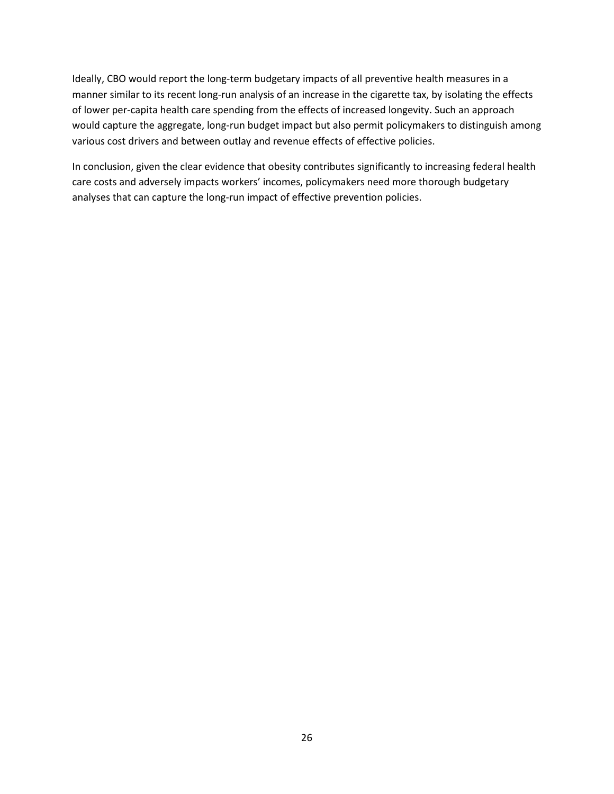Ideally, CBO would report the long-term budgetary impacts of all preventive health measures in a manner similar to its recent long-run analysis of an increase in the cigarette tax, by isolating the effects of lower per-capita health care spending from the effects of increased longevity. Such an approach would capture the aggregate, long-run budget impact but also permit policymakers to distinguish among various cost drivers and between outlay and revenue effects of effective policies.

In conclusion, given the clear evidence that obesity contributes significantly to increasing federal health care costs and adversely impacts workers' incomes, policymakers need more thorough budgetary analyses that can capture the long-run impact of effective prevention policies.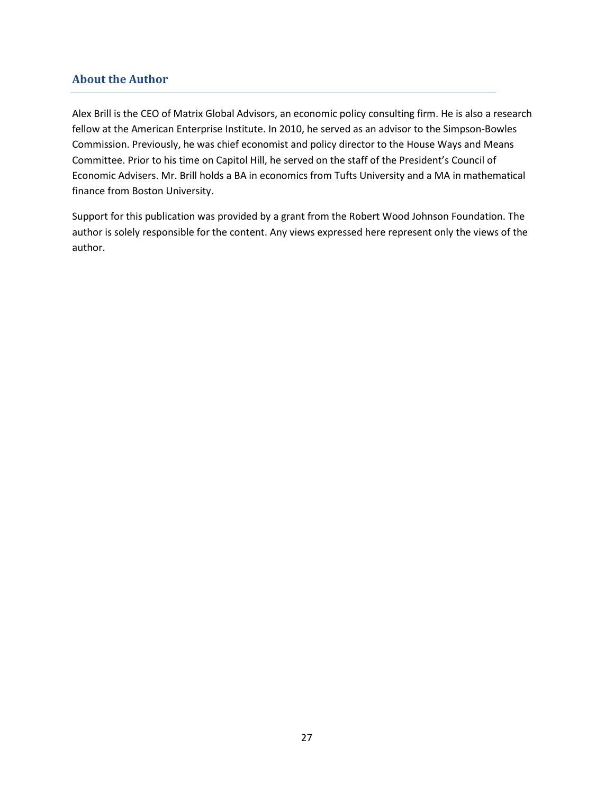## **About the Author**

Alex Brill is the CEO of Matrix Global Advisors, an economic policy consulting firm. He is also a research fellow at the American Enterprise Institute. In 2010, he served as an advisor to the Simpson-Bowles Commission. Previously, he was chief economist and policy director to the House Ways and Means Committee. Prior to his time on Capitol Hill, he served on the staff of the President's Council of Economic Advisers. Mr. Brill holds a BA in economics from Tufts University and a MA in mathematical finance from Boston University.

Support for this publication was provided by a grant from the Robert Wood Johnson Foundation. The author is solely responsible for the content. Any views expressed here represent only the views of the author.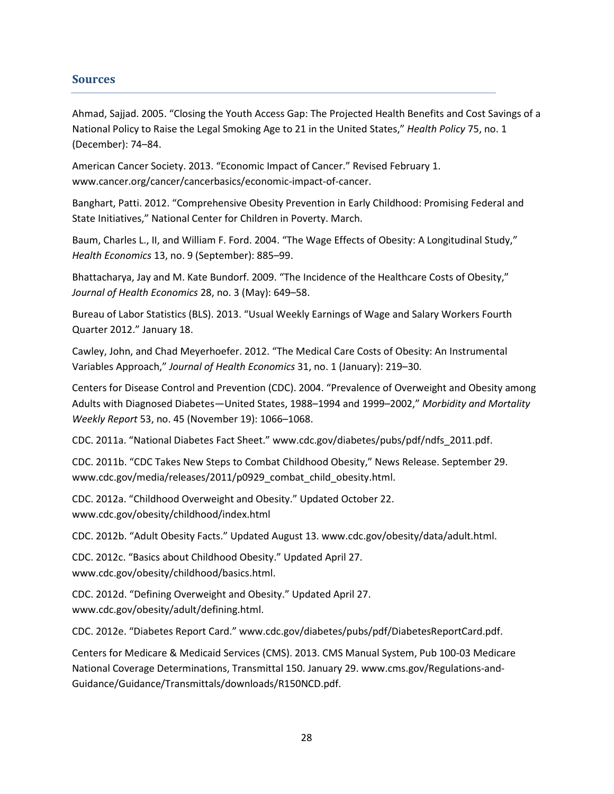### **Sources**

Ahmad, Sajjad. 2005. "Closing the Youth Access Gap: The Projected Health Benefits and Cost Savings of a National Policy to Raise the Legal Smoking Age to 21 in the United States," *Health Policy* 75, no. 1 (December): 74–84.

American Cancer Society. 2013. "Economic Impact of Cancer." Revised February 1. www.cancer.org/cancer/cancerbasics/economic-impact-of-cancer.

Banghart, Patti. 2012. "Comprehensive Obesity Prevention in Early Childhood: Promising Federal and State Initiatives," National Center for Children in Poverty. March.

Baum, Charles L., II, and William F. Ford. 2004. "The Wage Effects of Obesity: A Longitudinal Study," *Health Economics* 13, no. 9 (September): 885–99.

Bhattacharya, Jay and M. Kate Bundorf. 2009. "The Incidence of the Healthcare Costs of Obesity," *Journal of Health Economics* 28, no. 3 (May): 649–58.

Bureau of Labor Statistics (BLS). 2013. "Usual Weekly Earnings of Wage and Salary Workers Fourth Quarter 2012." January 18.

Cawley, John, and Chad Meyerhoefer. 2012. "The Medical Care Costs of Obesity: An Instrumental Variables Approach," *Journal of Health Economics* 31, no. 1 (January): 219–30.

Centers for Disease Control and Prevention (CDC). 2004. "Prevalence of Overweight and Obesity among Adults with Diagnosed Diabetes—United States, 1988–1994 and 1999–2002," *Morbidity and Mortality Weekly Report* 53, no. 45 (November 19): 1066–1068.

CDC. 2011a. "National Diabetes Fact Sheet." www.cdc.gov/diabetes/pubs/pdf/ndfs\_2011.pdf.

CDC. 2011b. "CDC Takes New Steps to Combat Childhood Obesity," News Release. September 29. www.cdc.gov/media/releases/2011/p0929\_combat\_child\_obesity.html.

CDC. 2012a. "Childhood Overweight and Obesity." Updated October 22. www.cdc.gov/obesity/childhood/index.html

CDC. 2012b. "Adult Obesity Facts." Updated August 13. www.cdc.gov/obesity/data/adult.html.

CDC. 2012c. "Basics about Childhood Obesity." Updated April 27. www.cdc.gov/obesity/childhood/basics.html.

CDC. 2012d. "Defining Overweight and Obesity." Updated April 27. www.cdc.gov/obesity/adult/defining.html.

CDC. 2012e. "Diabetes Report Card." www.cdc.gov/diabetes/pubs/pdf/DiabetesReportCard.pdf.

Centers for Medicare & Medicaid Services (CMS). 2013. CMS Manual System, Pub 100-03 Medicare National Coverage Determinations, Transmittal 150. January 29. www.cms.gov/Regulations-and-Guidance/Guidance/Transmittals/downloads/R150NCD.pdf.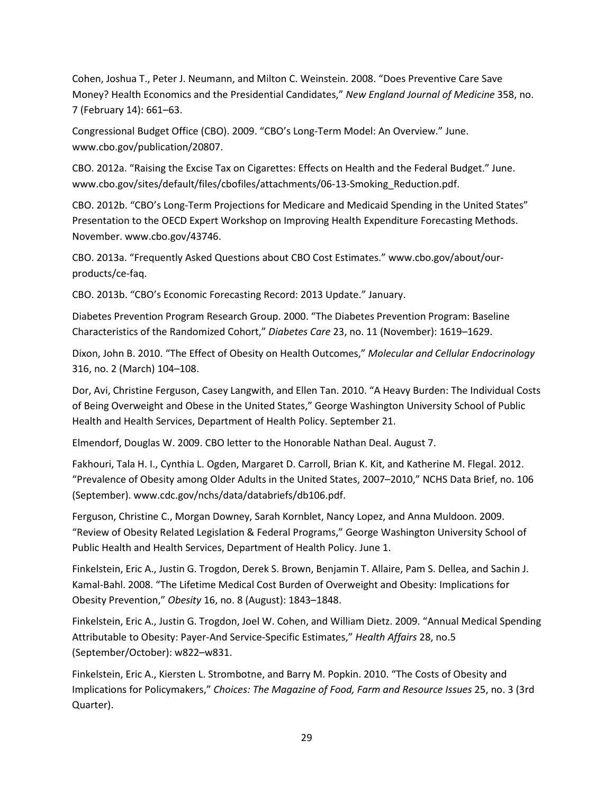Cohen, Joshua T., Peter J. Neumann, and Milton C. Weinstein. 2008. "Does Preventive Care Save Money? Health Economics and the Presidential Candidates," *New England Journal of Medicine* 358, no. 7 (February 14): 661–63.

Congressional Budget Office (CBO). 2009. "CBO's Long-Term Model: An Overview." June. www.cbo.gov/publication/20807.

CBO. 2012a. "Raising the Excise Tax on Cigarettes: Effects on Health and the Federal Budget." June. www.cbo.gov/sites/default/files/cbofiles/attachments/06-13-Smoking\_Reduction.pdf.

CBO. 2012b. "CBO's Long-Term Projections for Medicare and Medicaid Spending in the United States" Presentation to the OECD Expert Workshop on Improving Health Expenditure Forecasting Methods. November. www.cbo.gov/43746.

CBO. 2013a. "Frequently Asked Questions about CBO Cost Estimates." www.cbo.gov/about/ourproducts/ce-faq.

CBO. 2013b. "CBO's Economic Forecasting Record: 2013 Update." January.

Diabetes Prevention Program Research Group. 2000. "The Diabetes Prevention Program: Baseline Characteristics of the Randomized Cohort," *Diabetes Care* 23, no. 11 (November): 1619–1629.

Dixon, John B. 2010. "The Effect of Obesity on Health Outcomes," *Molecular and Cellular Endocrinology* 316, no. 2 (March) 104–108.

Dor, Avi, Christine Ferguson, Casey Langwith, and Ellen Tan. 2010. "A Heavy Burden: The Individual Costs of Being Overweight and Obese in the United States," George Washington University School of Public Health and Health Services, Department of Health Policy. September 21.

Elmendorf, Douglas W. 2009. CBO letter to the Honorable Nathan Deal. August 7.

Fakhouri, Tala H. I., Cynthia L. Ogden, Margaret D. Carroll, Brian K. Kit, and Katherine M. Flegal. 2012. "Prevalence of Obesity among Older Adults in the United States, 2007–2010," NCHS Data Brief, no. 106 (September). www.cdc.gov/nchs/data/databriefs/db106.pdf.

Ferguson, Christine C., Morgan Downey, Sarah Kornblet, Nancy Lopez, and Anna Muldoon. 2009. "Review of Obesity Related Legislation & Federal Programs," George Washington University School of Public Health and Health Services, Department of Health Policy. June 1.

Finkelstein, Eric A., Justin G. Trogdon, Derek S. Brown, Benjamin T. Allaire, Pam S. Dellea, and Sachin J. Kamal-Bahl. 2008. "The Lifetime Medical Cost Burden of Overweight and Obesity: Implications for Obesity Prevention," *Obesity* 16, no. 8 (August): 1843–1848.

Finkelstein, Eric A., Justin G. Trogdon, Joel W. Cohen, and William Dietz. 2009. "Annual Medical Spending Attributable to Obesity: Payer-And Service-Specific Estimates," *Health Affairs* 28, no.5 (September/October): w822–w831.

Finkelstein, Eric A., Kiersten L. Strombotne, and Barry M. Popkin. 2010. "The Costs of Obesity and Implications for Policymakers," *Choices: The Magazine of Food, Farm and Resource Issues* 25, no. 3 (3rd Quarter).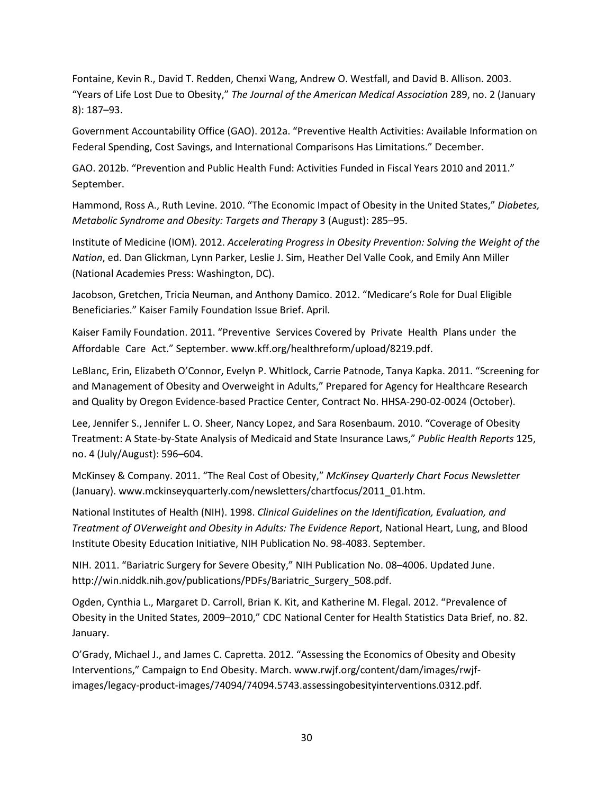Fontaine, Kevin R., David T. Redden, Chenxi Wang, Andrew O. Westfall, and David B. Allison. 2003. "Years of Life Lost Due to Obesity," *The Journal of the American Medical Association* 289, no. 2 (January 8): 187–93.

Government Accountability Office (GAO). 2012a. "Preventive Health Activities: Available Information on Federal Spending, Cost Savings, and International Comparisons Has Limitations." December.

GAO. 2012b. "Prevention and Public Health Fund: Activities Funded in Fiscal Years 2010 and 2011." September.

Hammond, Ross A., Ruth Levine. 2010. "The Economic Impact of Obesity in the United States," *Diabetes, Metabolic Syndrome and Obesity: Targets and Therapy* 3 (August): 285–95.

Institute of Medicine (IOM). 2012. *Accelerating Progress in Obesity Prevention: Solving the Weight of the Nation*, ed. Dan Glickman, Lynn Parker, Leslie J. Sim, Heather Del Valle Cook, and Emily Ann Miller (National Academies Press: Washington, DC).

Jacobson, Gretchen, Tricia Neuman, and Anthony Damico. 2012. "Medicare's Role for Dual Eligible Beneficiaries." Kaiser Family Foundation Issue Brief. April.

Kaiser Family Foundation. 2011. "Preventive Services Covered by Private Health Plans under the Affordable Care Act." September. www.kff.org/healthreform/upload/8219.pdf.

LeBlanc, Erin, Elizabeth O'Connor, Evelyn P. Whitlock, Carrie Patnode, Tanya Kapka. 2011. "Screening for and Management of Obesity and Overweight in Adults," Prepared for Agency for Healthcare Research and Quality by Oregon Evidence-based Practice Center, Contract No. HHSA-290-02-0024 (October).

Lee, Jennifer S., Jennifer L. O. Sheer, Nancy Lopez, and Sara Rosenbaum. 2010. "Coverage of Obesity Treatment: A State-by-State Analysis of Medicaid and State Insurance Laws," *Public Health Reports* 125, no. 4 (July/August): 596–604.

McKinsey & Company. 2011. "The Real Cost of Obesity," *McKinsey Quarterly Chart Focus Newsletter* (January). www.mckinseyquarterly.com/newsletters/chartfocus/2011\_01.htm.

National Institutes of Health (NIH). 1998. *Clinical Guidelines on the Identification, Evaluation, and Treatment of OVerweight and Obesity in Adults: The Evidence Report*, National Heart, Lung, and Blood Institute Obesity Education Initiative, NIH Publication No. 98-4083. September.

NIH. 2011. "Bariatric Surgery for Severe Obesity," NIH Publication No. 08–4006. Updated June. http://win.niddk.nih.gov/publications/PDFs/Bariatric\_Surgery\_508.pdf.

Ogden, Cynthia L., Margaret D. Carroll, Brian K. Kit, and Katherine M. Flegal. 2012. "Prevalence of Obesity in the United States, 2009–2010," CDC National Center for Health Statistics Data Brief, no. 82. January.

O'Grady, Michael J., and James C. Capretta. 2012. "Assessing the Economics of Obesity and Obesity Interventions," Campaign to End Obesity. March. www.rwjf.org/content/dam/images/rwjfimages/legacy-product-images/74094/74094.5743.assessingobesityinterventions.0312.pdf.